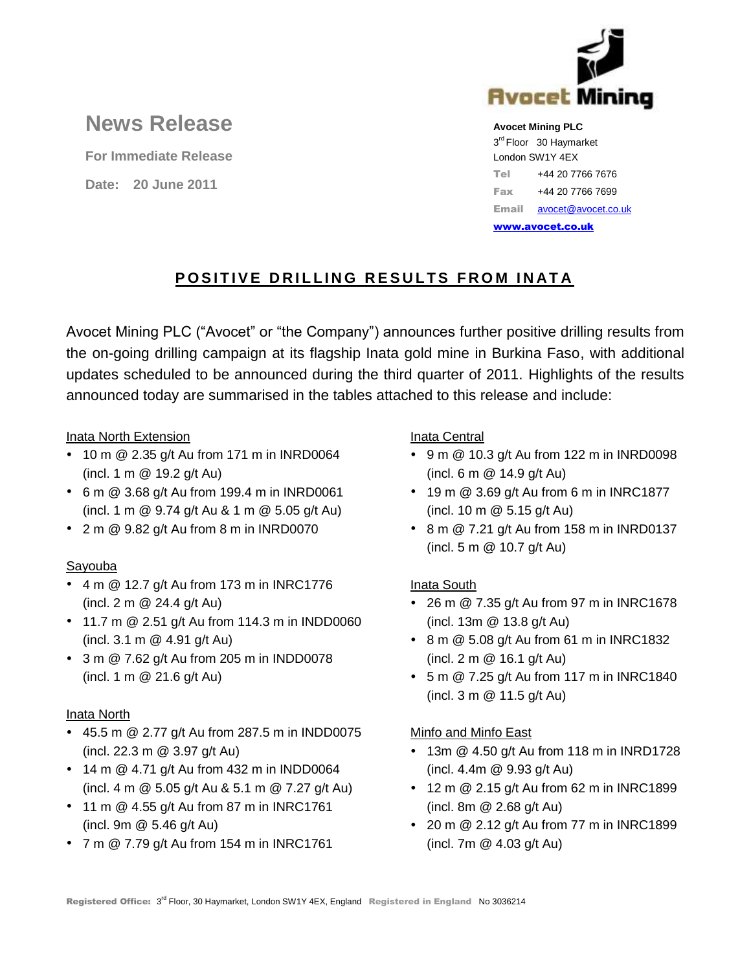

# **News Release**

**For Immediate Release**

**Date: 20 June 2011**

#### **Avocet Mining PLC**

3<sup>rd</sup> Floor 30 Haymarket London SW1Y 4EX Tel +44 20 7766 7676 Fax +44 20 7766 7699 Email [avocet@avocet.co.uk](mailto:avocet@avocet.co.uk)

[www.avocet.co.uk](http://www.avocet.co.uk/)

## **POSITIVE DRILLING RESULTS FROM INATA**

Avocet Mining PLC ("Avocet" or "the Company") announces further positive drilling results from the on-going drilling campaign at its flagship Inata gold mine in Burkina Faso, with additional updates scheduled to be announced during the third quarter of 2011. Highlights of the results announced today are summarised in the tables attached to this release and include:

#### Inata North Extension

- 10 m @ 2.35 g/t Au from 171 m in INRD0064 (incl. 1 m @ 19.2 g/t Au)
- 6 m @ 3.68 g/t Au from 199.4 m in INRD0061 (incl. 1 m @ 9.74 g/t Au & 1 m @ 5.05 g/t Au)
- $\cdot$  2 m  $\textcircled{2}$  9.82 g/t Au from 8 m in INRD0070

## Sayouba

- $\cdot$  4 m  $\omega$  12.7 g/t Au from 173 m in INRC1776 (incl. 2 m @ 24.4 g/t Au)
- 11.7 m @ 2.51 g/t Au from 114.3 m in INDD0060 (incl. 3.1 m @ 4.91 g/t Au)
- 3 m @ 7.62 g/t Au from 205 m in INDD0078 (incl. 1 m @ 21.6 g/t Au)

#### Inata North

- 45.5 m @ 2.77 g/t Au from 287.5 m in INDD0075 (incl. 22.3 m @ 3.97 g/t Au)
- 14 m @ 4.71 g/t Au from 432 m in INDD0064 (incl. 4 m @ 5.05 g/t Au & 5.1 m @ 7.27 g/t Au)
- 11 m @ 4.55 g/t Au from 87 m in INRC1761 (incl. 9m @ 5.46 g/t Au)
- 7 m @ 7.79 g/t Au from 154 m in INRC1761

#### Inata Central

- 9 m @ 10.3 g/t Au from 122 m in INRD0098 (incl. 6 m @ 14.9 g/t Au)
- $\cdot$  19 m @ 3.69 g/t Au from 6 m in INRC1877 (incl. 10 m @ 5.15 g/t Au)
- 8 m @ 7.21 g/t Au from 158 m in INRD0137 (incl. 5 m @ 10.7 g/t Au)

## Inata South

- 26 m @ 7.35 g/t Au from 97 m in INRC1678 (incl. 13m @ 13.8 g/t Au)
- 8 m @ 5.08 g/t Au from 61 m in INRC1832 (incl. 2 m @ 16.1 g/t Au)
- 5 m @ 7.25 g/t Au from 117 m in INRC1840 (incl. 3 m @ 11.5 g/t Au)

## Minfo and Minfo East

- 13m @ 4.50 g/t Au from 118 m in INRD1728 (incl. 4.4m @ 9.93 g/t Au)
- 12 m @ 2.15 g/t Au from 62 m in INRC1899 (incl. 8m @ 2.68 g/t Au)
- 20 m @ 2.12 g/t Au from 77 m in INRC1899 (incl. 7m @ 4.03 g/t Au)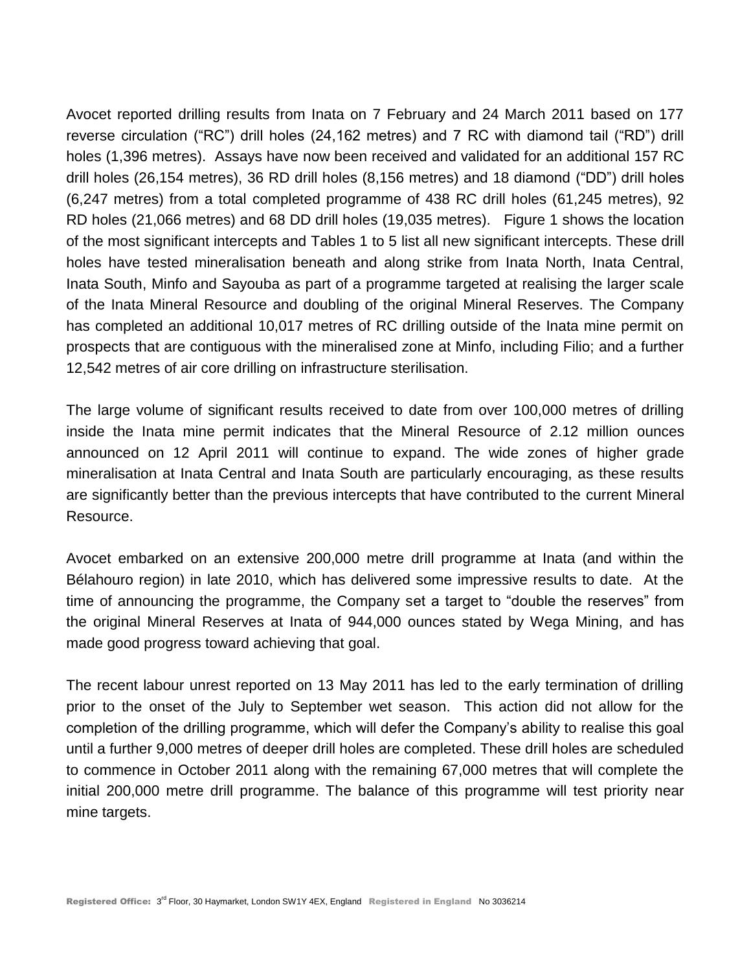Avocet reported drilling results from Inata on 7 February and 24 March 2011 based on 177 reverse circulation ("RC") drill holes (24,162 metres) and 7 RC with diamond tail ("RD") drill holes (1,396 metres). Assays have now been received and validated for an additional 157 RC drill holes (26,154 metres), 36 RD drill holes (8,156 metres) and 18 diamond ("DD") drill holes (6,247 metres) from a total completed programme of 438 RC drill holes (61,245 metres), 92 RD holes (21,066 metres) and 68 DD drill holes (19,035 metres). Figure 1 shows the location of the most significant intercepts and Tables 1 to 5 list all new significant intercepts. These drill holes have tested mineralisation beneath and along strike from Inata North, Inata Central, Inata South, Minfo and Sayouba as part of a programme targeted at realising the larger scale of the Inata Mineral Resource and doubling of the original Mineral Reserves. The Company has completed an additional 10,017 metres of RC drilling outside of the Inata mine permit on prospects that are contiguous with the mineralised zone at Minfo, including Filio; and a further 12,542 metres of air core drilling on infrastructure sterilisation.

The large volume of significant results received to date from over 100,000 metres of drilling inside the Inata mine permit indicates that the Mineral Resource of 2.12 million ounces announced on 12 April 2011 will continue to expand. The wide zones of higher grade mineralisation at Inata Central and Inata South are particularly encouraging, as these results are significantly better than the previous intercepts that have contributed to the current Mineral Resource.

Avocet embarked on an extensive 200,000 metre drill programme at Inata (and within the Bélahouro region) in late 2010, which has delivered some impressive results to date. At the time of announcing the programme, the Company set a target to "double the reserves" from the original Mineral Reserves at Inata of 944,000 ounces stated by Wega Mining, and has made good progress toward achieving that goal.

The recent labour unrest reported on 13 May 2011 has led to the early termination of drilling prior to the onset of the July to September wet season. This action did not allow for the completion of the drilling programme, which will defer the Company's ability to realise this goal until a further 9,000 metres of deeper drill holes are completed. These drill holes are scheduled to commence in October 2011 along with the remaining 67,000 metres that will complete the initial 200,000 metre drill programme. The balance of this programme will test priority near mine targets.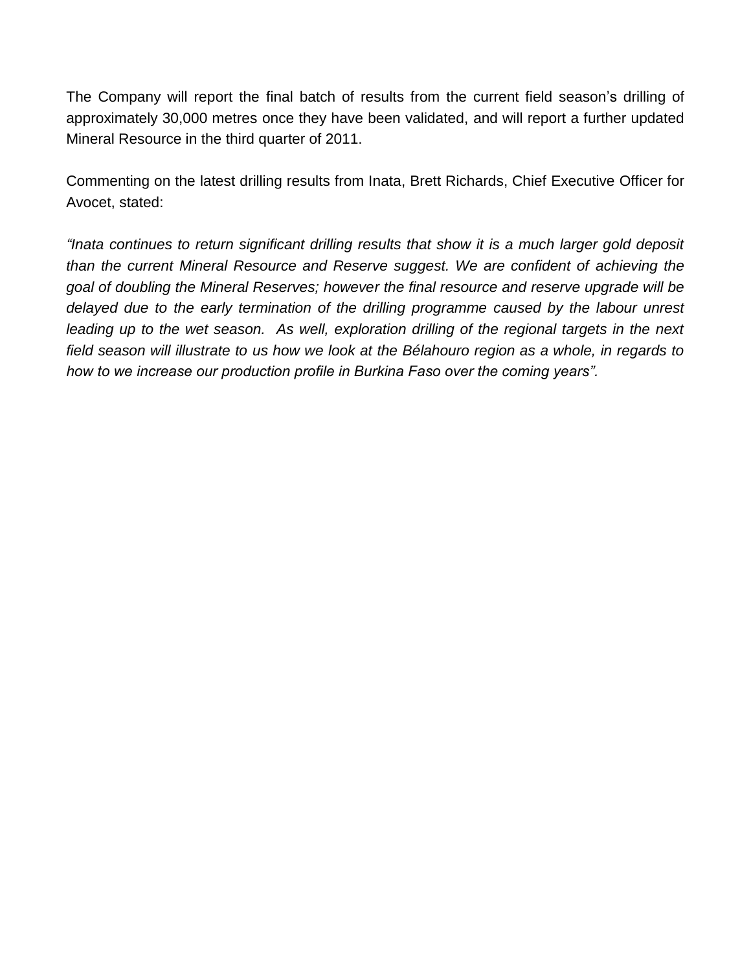The Company will report the final batch of results from the current field season's drilling of approximately 30,000 metres once they have been validated, and will report a further updated Mineral Resource in the third quarter of 2011.

Commenting on the latest drilling results from Inata, Brett Richards, Chief Executive Officer for Avocet, stated:

*"Inata continues to return significant drilling results that show it is a much larger gold deposit than the current Mineral Resource and Reserve suggest. We are confident of achieving the goal of doubling the Mineral Reserves; however the final resource and reserve upgrade will be delayed due to the early termination of the drilling programme caused by the labour unrest* leading up to the wet season. As well, exploration drilling of the regional targets in the next *field season will illustrate to us how we look at the Bélahouro region as a whole, in regards to how to we increase our production profile in Burkina Faso over the coming years".*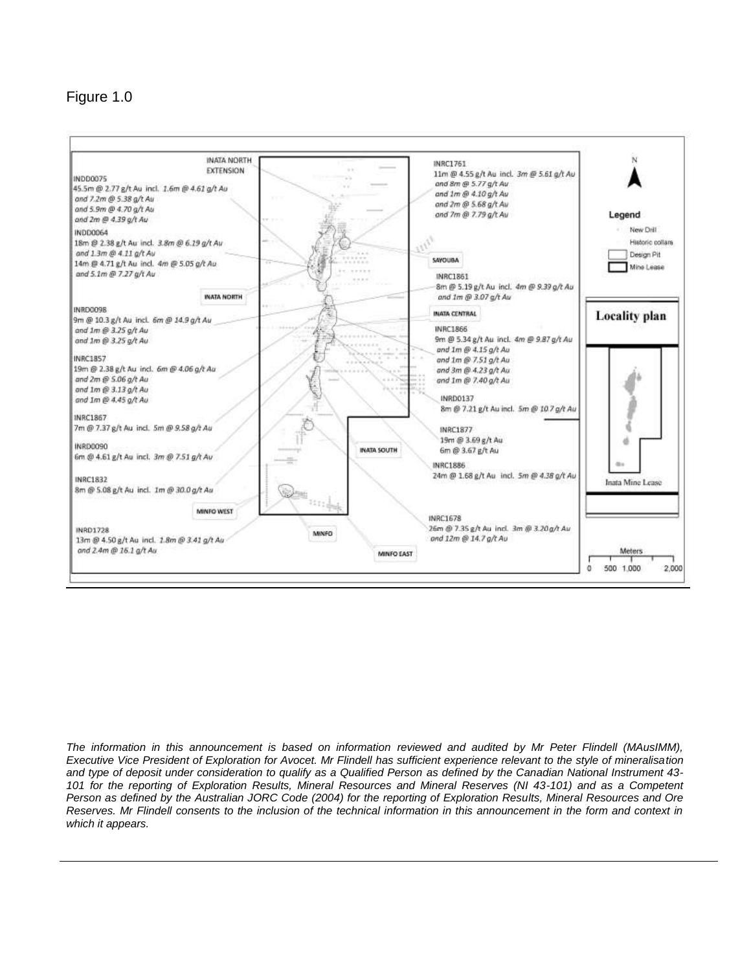## Figure 1.0



*The information in this announcement is based on information reviewed and audited by Mr Peter Flindell (MAusIMM), Executive Vice President of Exploration for Avocet. Mr Flindell has sufficient experience relevant to the style of mineralisation and type of deposit under consideration to qualify as a Qualified Person as defined by the Canadian National Instrument 43- 101 for the reporting of Exploration Results, Mineral Resources and Mineral Reserves (NI 43-101) and as a Competent Person as defined by the Australian JORC Code (2004) for the reporting of Exploration Results, Mineral Resources and Ore Reserves. Mr Flindell consents to the inclusion of the technical information in this announcement in the form and context in which it appears.*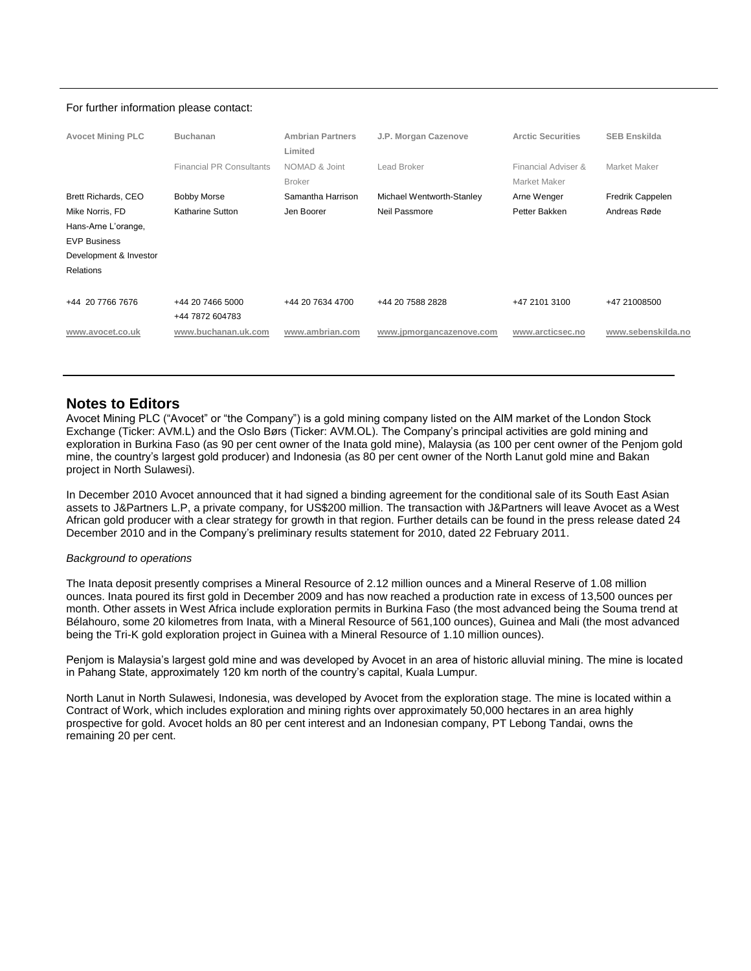#### For further information please contact:

| <b>Avocet Mining PLC</b> | <b>Buchanan</b>                 | <b>Ambrian Partners</b><br>Limited | J.P. Morgan Cazenove      | <b>Arctic Securities</b>            | <b>SEB Enskilda</b> |
|--------------------------|---------------------------------|------------------------------------|---------------------------|-------------------------------------|---------------------|
|                          | <b>Financial PR Consultants</b> | NOMAD & Joint<br><b>Broker</b>     | Lead Broker               | Financial Adviser &<br>Market Maker | Market Maker        |
| Brett Richards, CEO      | <b>Bobby Morse</b>              | Samantha Harrison                  | Michael Wentworth-Stanley | Arne Wenger                         | Fredrik Cappelen    |
| Mike Norris, FD          | Katharine Sutton                | Jen Boorer                         | Neil Passmore             | Petter Bakken                       | Andreas Røde        |
| Hans-Arne L'orange,      |                                 |                                    |                           |                                     |                     |
| <b>EVP Business</b>      |                                 |                                    |                           |                                     |                     |
| Development & Investor   |                                 |                                    |                           |                                     |                     |
| <b>Relations</b>         |                                 |                                    |                           |                                     |                     |
|                          |                                 |                                    |                           |                                     |                     |
| +44 20 7766 7676         | +44 20 7466 5000                | +44 20 7634 4700                   | +44 20 7588 2828          | +47 2101 3100                       | +47 21008500        |
|                          | +44 7872 604783                 |                                    |                           |                                     |                     |
| www.avocet.co.uk         | www.buchanan.uk.com             | www.ambrian.com                    | www.jpmorgancazenove.com  | www.arcticsec.no                    | www.sebenskilda.no  |
|                          |                                 |                                    |                           |                                     |                     |
|                          |                                 |                                    |                           |                                     |                     |

#### **Notes to Editors**

Avocet Mining PLC ("Avocet" or "the Company") is a gold mining company listed on the AIM market of the London Stock Exchange (Ticker: AVM.L) and the Oslo Børs (Ticker: AVM.OL). The Company's principal activities are gold mining and exploration in Burkina Faso (as 90 per cent owner of the Inata gold mine), Malaysia (as 100 per cent owner of the Penjom gold mine, the country's largest gold producer) and Indonesia (as 80 per cent owner of the North Lanut gold mine and Bakan project in North Sulawesi).

In December 2010 Avocet announced that it had signed a binding agreement for the conditional sale of its South East Asian assets to J&Partners L.P, a private company, for US\$200 million. The transaction with J&Partners will leave Avocet as a West African gold producer with a clear strategy for growth in that region. Further details can be found in the press release dated 24 December 2010 and in the Company's preliminary results statement for 2010, dated 22 February 2011.

#### *Background to operations*

The Inata deposit presently comprises a Mineral Resource of 2.12 million ounces and a Mineral Reserve of 1.08 million ounces. Inata poured its first gold in December 2009 and has now reached a production rate in excess of 13,500 ounces per month. Other assets in West Africa include exploration permits in Burkina Faso (the most advanced being the Souma trend at Bélahouro, some 20 kilometres from Inata, with a Mineral Resource of 561,100 ounces), Guinea and Mali (the most advanced being the Tri-K gold exploration project in Guinea with a Mineral Resource of 1.10 million ounces).

Penjom is Malaysia's largest gold mine and was developed by Avocet in an area of historic alluvial mining. The mine is located in Pahang State, approximately 120 km north of the country's capital, Kuala Lumpur.

North Lanut in North Sulawesi, Indonesia, was developed by Avocet from the exploration stage. The mine is located within a Contract of Work, which includes exploration and mining rights over approximately 50,000 hectares in an area highly prospective for gold. Avocet holds an 80 per cent interest and an Indonesian company, PT Lebong Tandai, owns the remaining 20 per cent.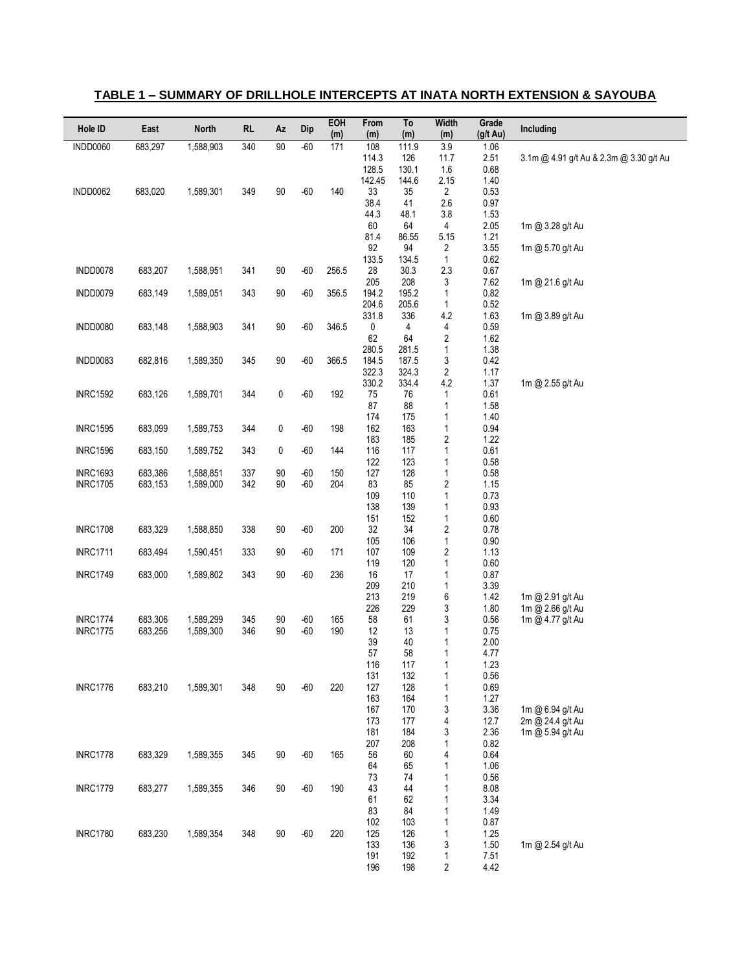| Hole ID         | East    | <b>North</b> | <b>RL</b> | Az     | Dip   | EOH<br>(m) | From<br>(m)    | To<br>(m)      | Width<br>(m)                 | Grade<br>(g/t Au) | Including                               |
|-----------------|---------|--------------|-----------|--------|-------|------------|----------------|----------------|------------------------------|-------------------|-----------------------------------------|
| <b>INDD0060</b> | 683,297 | 1,588,903    | 340       | 90     | $-60$ | 171        | 108            | 111.9          | 3.9                          | 1.06              |                                         |
|                 |         |              |           |        |       |            | 114.3<br>128.5 | 126<br>130.1   | 11.7<br>1.6                  | 2.51<br>0.68      | 3.1m @ 4.91 g/t Au & 2.3m @ 3.30 g/t Au |
|                 |         |              |           |        |       |            | 142.45         | 144.6          | 2.15                         | 1.40              |                                         |
| INDD0062        | 683,020 | 1,589,301    | 349       | 90     | $-60$ | 140        | 33             | 35             | 2                            | 0.53              |                                         |
|                 |         |              |           |        |       |            | 38.4<br>44.3   | 41<br>48.1     | 2.6<br>3.8                   | 0.97<br>1.53      |                                         |
|                 |         |              |           |        |       |            | 60             | 64             | 4                            | 2.05              | 1m @ 3.28 g/t Au                        |
|                 |         |              |           |        |       |            | 81.4           | 86.55          | 5.15                         | 1.21              |                                         |
|                 |         |              |           |        |       |            | 92<br>133.5    | 94<br>134.5    | 2<br>$\mathbf{1}$            | 3.55<br>0.62      | 1m @ 5.70 g/t Au                        |
| INDD0078        | 683,207 | 1,588,951    | 341       | 90     | $-60$ | 256.5      | 28             | 30.3           | 2.3                          | 0.67              |                                         |
|                 |         |              |           |        |       |            | 205            | 208            | 3                            | 7.62              | 1m @ 21.6 g/t Au                        |
| INDD0079        | 683,149 | 1,589,051    | 343       | 90     | $-60$ | 356.5      | 194.2          | 195.2          | 1                            | 0.82              |                                         |
|                 |         |              |           |        |       |            | 204.6<br>331.8 | 205.6<br>336   | 1<br>4.2                     | 0.52<br>1.63      | 1m @ 3.89 g/t Au                        |
| INDD0080        | 683,148 | 1,588,903    | 341       | $90\,$ | $-60$ | 346.5      | 0              | 4              | 4                            | 0.59              |                                         |
|                 |         |              |           |        |       |            | 62             | 64             | 2                            | 1.62              |                                         |
| INDD0083        | 682,816 | 1,589,350    | 345       | $90\,$ | $-60$ | 366.5      | 280.5<br>184.5 | 281.5<br>187.5 | 1<br>3                       | 1.38<br>0.42      |                                         |
|                 |         |              |           |        |       |            | 322.3          | 324.3          | 2                            | 1.17              |                                         |
|                 |         |              |           |        |       |            | 330.2          | 334.4          | 4.2                          | 1.37              | 1m @ 2.55 g/t Au                        |
| <b>INRC1592</b> | 683,126 | 1,589,701    | 344       | 0      | $-60$ | 192        | 75<br>87       | 76<br>88       | 1<br>1                       | 0.61<br>1.58      |                                         |
|                 |         |              |           |        |       |            | 174            | 175            | 1                            | 1.40              |                                         |
| <b>INRC1595</b> | 683,099 | 1,589,753    | 344       | 0      | $-60$ | 198        | 162            | 163            | 1                            | 0.94              |                                         |
| <b>INRC1596</b> | 683,150 | 1,589,752    | 343       | 0      | $-60$ | 144        | 183<br>116     | 185<br>117     | $\overline{\mathbf{c}}$<br>1 | 1.22<br>0.61      |                                         |
|                 |         |              |           |        |       |            | 122            | 123            | 1                            | 0.58              |                                         |
| <b>INRC1693</b> | 683,386 | 1,588,851    | 337       | 90     | $-60$ | 150        | 127            | 128            | 1                            | 0.58              |                                         |
| <b>INRC1705</b> | 683,153 | 1,589,000    | 342       | 90     | $-60$ | 204        | 83<br>109      | 85<br>110      | 2<br>1                       | 1.15<br>0.73      |                                         |
|                 |         |              |           |        |       |            | 138            | 139            | 1                            | 0.93              |                                         |
|                 |         |              |           |        |       |            | 151            | 152            | 1                            | 0.60              |                                         |
| <b>INRC1708</b> | 683,329 | 1,588,850    | 338       | 90     | $-60$ | 200        | 32<br>105      | 34<br>106      | $\overline{\mathbf{c}}$<br>1 | 0.78<br>0.90      |                                         |
| <b>INRC1711</b> | 683,494 | 1,590,451    | 333       | 90     | -60   | 171        | 107            | 109            | $\overline{\mathbf{c}}$      | 1.13              |                                         |
|                 |         |              |           |        |       |            | 119            | 120            | 1                            | 0.60              |                                         |
| <b>INRC1749</b> | 683,000 | 1,589,802    | 343       | 90     | $-60$ | 236        | 16             | 17             | 1                            | 0.87              |                                         |
|                 |         |              |           |        |       |            | 209<br>213     | 210<br>219     | 1<br>6                       | 3.39<br>1.42      | 1m @ 2.91 g/t Au                        |
|                 |         |              |           |        |       |            | 226            | 229            | 3                            | 1.80              | 1m @ 2.66 g/t Au                        |
| <b>INRC1774</b> | 683,306 | 1,589,299    | 345       | 90     | $-60$ | 165        | 58             | 61             | 3                            | 0.56              | 1m @ 4.77 g/t Au                        |
| <b>INRC1775</b> | 683,256 | 1,589,300    | 346       | 90     | $-60$ | 190        | 12<br>39       | 13<br>40       | 1<br>1                       | 0.75<br>2.00      |                                         |
|                 |         |              |           |        |       |            | 57             | 58             | 1                            | 4.77              |                                         |
|                 |         |              |           |        |       |            | 116            | 117            | 1                            | 1.23              |                                         |
| <b>INRC1776</b> | 683,210 | 1,589,301    | 348       | 90     | $-60$ | 220        | 131<br>127     | 132<br>128     | 1<br>1                       | 0.56<br>0.69      |                                         |
|                 |         |              |           |        |       |            | 163            | 164            | 1                            | 1.27              |                                         |
|                 |         |              |           |        |       |            | 167            | 170            | 3                            | 3.36              | 1m @ 6.94 g/t Au                        |
|                 |         |              |           |        |       |            | 173<br>181     | 177<br>184     | 4<br>3                       | 12.7<br>2.36      | 2m @ 24.4 g/t Au<br>1m @ 5.94 g/t Au    |
|                 |         |              |           |        |       |            | 207            | 208            | 1                            | 0.82              |                                         |
| <b>INRC1778</b> | 683,329 | 1,589,355    | 345       | 90     | $-60$ | 165        | 56             | 60             | 4                            | 0.64              |                                         |
|                 |         |              |           |        |       |            | 64<br>73       | 65<br>74       | 1<br>1                       | 1.06<br>0.56      |                                         |
| <b>INRC1779</b> | 683,277 | 1,589,355    | 346       | 90     | $-60$ | 190        | 43             | 44             | 1                            | 8.08              |                                         |
|                 |         |              |           |        |       |            | 61             | 62             | 1                            | 3.34              |                                         |
|                 |         |              |           |        |       |            | 83<br>102      | 84<br>103      | 1<br>1                       | 1.49<br>0.87      |                                         |
| <b>INRC1780</b> | 683,230 | 1,589,354    | 348       | 90     | $-60$ | 220        | 125            | 126            | 1                            | 1.25              |                                         |
|                 |         |              |           |        |       |            | 133            | 136            | 3                            | 1.50              | 1m @ 2.54 g/t Au                        |
|                 |         |              |           |        |       |            | 191<br>196     | 192<br>198     | 1<br>2                       | 7.51<br>4.42      |                                         |
|                 |         |              |           |        |       |            |                |                |                              |                   |                                         |

#### **TABLE 1 – SUMMARY OF DRILLHOLE INTERCEPTS AT INATA NORTH EXTENSION & SAYOUBA**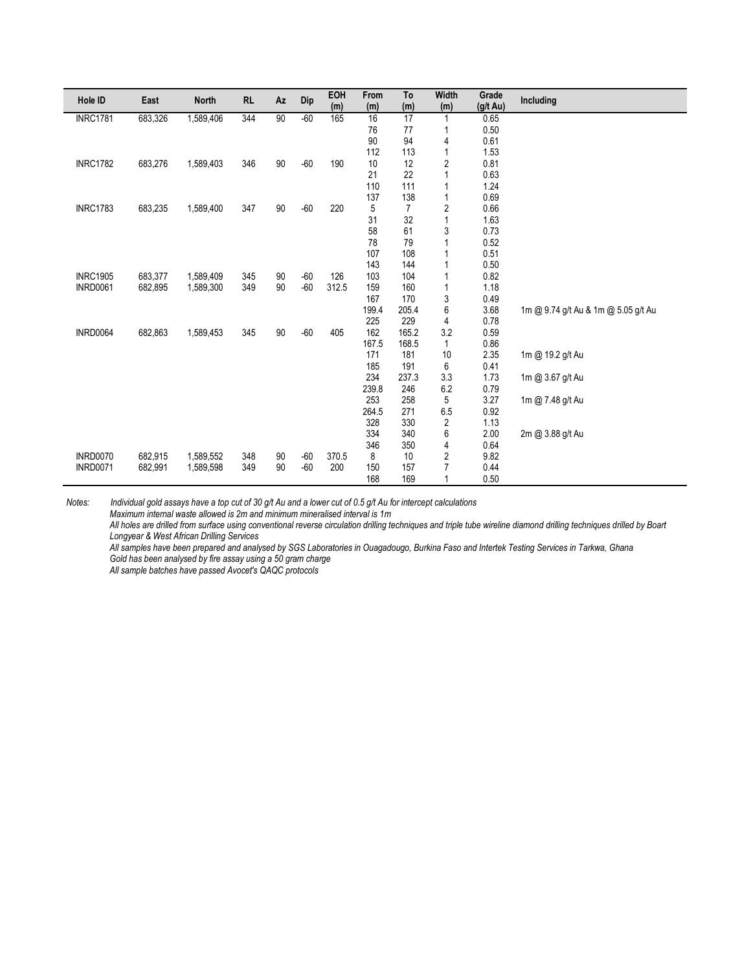| Hole ID         | East    | <b>North</b> | <b>RL</b> | Az | Dip   | EOH   | From  | To             | <b>Width</b> | Grade              | Including                           |
|-----------------|---------|--------------|-----------|----|-------|-------|-------|----------------|--------------|--------------------|-------------------------------------|
|                 |         |              |           |    |       | (m)   | (m)   | (m)            | (m)          | $(g/t \text{ Au})$ |                                     |
| <b>INRC1781</b> | 683,326 | 1,589,406    | 344       | 90 | $-60$ | 165   | 16    | 17             |              | 0.65               |                                     |
|                 |         |              |           |    |       |       | 76    | 77             |              | 0.50               |                                     |
|                 |         |              |           |    |       |       | 90    | 94             | 4            | 0.61               |                                     |
|                 |         |              |           |    |       |       | 112   | 113            | 1            | 1.53               |                                     |
| <b>INRC1782</b> | 683,276 | 1,589,403    | 346       | 90 | $-60$ | 190   | 10    | 12             | 2            | 0.81               |                                     |
|                 |         |              |           |    |       |       | 21    | 22             |              | 0.63               |                                     |
|                 |         |              |           |    |       |       | 110   | 111            |              | 1.24               |                                     |
|                 |         |              |           |    |       |       | 137   | 138            |              | 0.69               |                                     |
| <b>INRC1783</b> | 683,235 | 1,589,400    | 347       | 90 | $-60$ | 220   | 5     | $\overline{7}$ | 2            | 0.66               |                                     |
|                 |         |              |           |    |       |       | 31    | 32             | 1            | 1.63               |                                     |
|                 |         |              |           |    |       |       | 58    | 61             | 3            | 0.73               |                                     |
|                 |         |              |           |    |       |       | 78    | 79             |              | 0.52               |                                     |
|                 |         |              |           |    |       |       | 107   | 108            |              | 0.51               |                                     |
|                 |         |              |           |    |       |       | 143   | 144            |              | 0.50               |                                     |
| <b>INRC1905</b> | 683,377 | 1,589,409    | 345       | 90 | $-60$ | 126   | 103   | 104            |              | 0.82               |                                     |
| <b>INRD0061</b> | 682,895 | 1,589,300    | 349       | 90 | $-60$ | 312.5 | 159   | 160            | 1            | 1.18               |                                     |
|                 |         |              |           |    |       |       | 167   | 170            | 3            | 0.49               |                                     |
|                 |         |              |           |    |       |       | 199.4 | 205.4          | 6            | 3.68               | 1m @ 9.74 g/t Au & 1m @ 5.05 g/t Au |
|                 |         |              |           |    |       |       | 225   | 229            | 4            | 0.78               |                                     |
| INRD0064        | 682,863 | 1,589,453    | 345       | 90 | $-60$ | 405   | 162   | 165.2          | 3.2          | 0.59               |                                     |
|                 |         |              |           |    |       |       | 167.5 | 168.5          | 1            | 0.86               |                                     |
|                 |         |              |           |    |       |       | 171   | 181            | 10           | 2.35               | 1m @ 19.2 g/t Au                    |
|                 |         |              |           |    |       |       | 185   | 191            | 6            | 0.41               |                                     |
|                 |         |              |           |    |       |       | 234   | 237.3          | 3.3          | 1.73               | 1m @ 3.67 g/t Au                    |
|                 |         |              |           |    |       |       | 239.8 | 246            | 6.2          | 0.79               |                                     |
|                 |         |              |           |    |       |       | 253   | 258            | 5            | 3.27               | 1m @ 7.48 g/t Au                    |
|                 |         |              |           |    |       |       | 264.5 | 271            | 6.5          | 0.92               |                                     |
|                 |         |              |           |    |       |       | 328   | 330            | 2            | 1.13               |                                     |
|                 |         |              |           |    |       |       | 334   | 340            | 6            | 2.00               | 2m @ 3.88 g/t Au                    |
|                 |         |              |           |    |       |       | 346   | 350            | 4            | 0.64               |                                     |
| <b>INRD0070</b> | 682,915 | 1,589,552    | 348       | 90 | $-60$ | 370.5 | 8     | 10             | 2            | 9.82               |                                     |
| <b>INRD0071</b> | 682,991 | 1,589,598    | 349       | 90 | $-60$ | 200   | 150   | 157            | 7            | 0.44               |                                     |
|                 |         |              |           |    |       |       | 168   | 169            | 1            | 0.50               |                                     |

*Maximum internal waste allowed is 2m and minimum mineralised interval is 1m*

*All holes are drilled from surface using conventional reverse circulation drilling techniques and triple tube wireline diamond drilling techniques drilled by Boart Longyear & West African Drilling Services*

*All samples have been prepared and analysed by SGS Laboratories in Ouagadougo, Burkina Faso and Intertek Testing Services in Tarkwa, Ghana*

*Gold has been analysed by fire assay using a 50 gram charge*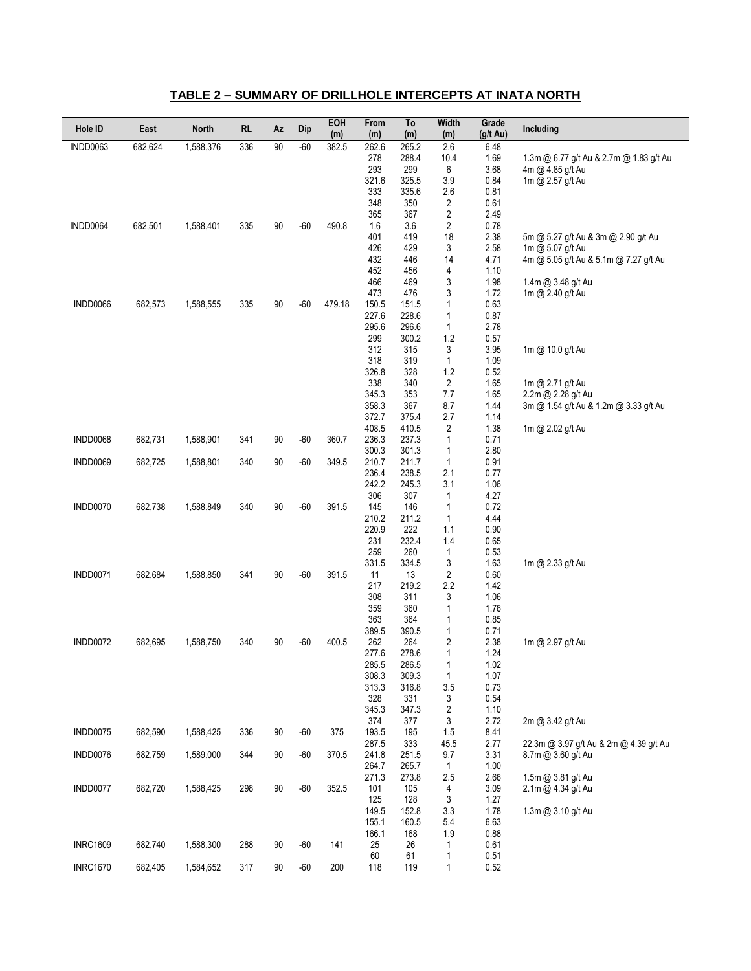| <b>INDD0063</b><br>336<br>90<br>$-60$<br>2.6<br>6.48<br>682,624<br>1,588,376<br>382.5<br>262.6<br>265.2<br>278<br>288.4<br>10.4<br>1.69<br>1.3m @ 6.77 g/t Au & 2.7m @ 1.83 g/t Au<br>293<br>299<br>6<br>3.68<br>4m @ 4.85 g/t Au<br>321.6<br>325.5<br>3.9<br>0.84<br>1m @ 2.57 g/t Au<br>333<br>335.6<br>2.6<br>0.81<br>348<br>350<br>2<br>0.61<br>365<br>2<br>2.49<br>367<br>682,501<br>1,588,401<br>335<br>90<br>$-60$<br>490.8<br>3.6<br>2<br>0.78<br>INDD0064<br>1.6<br>401<br>419<br>18<br>2.38<br>5m @ 5.27 g/t Au & 3m @ 2.90 g/t Au<br>426<br>429<br>3<br>2.58<br>1m @ 5.07 g/t Au<br>432<br>446<br>14<br>4.71<br>4m @ 5.05 g/t Au & 5.1m @ 7.27 g/t Au<br>452<br>4<br>456<br>1.10<br>3<br>466<br>469<br>1.98<br>1.4m @ 3.48 g/t Au<br>473<br>476<br>3<br>1.72<br>1m @ 2.40 g/t Au<br>335<br>90<br>$-60$<br>479.18<br>150.5<br>0.63<br>INDD0066<br>682,573<br>1,588,555<br>151.5<br>1<br>227.6<br>228.6<br>0.87<br>1<br>295.6<br>296.6<br>2.78<br>1<br>299<br>300.2<br>1.2<br>0.57<br>312<br>315<br>3<br>3.95<br>1m @ 10.0 g/t Au<br>318<br>$\mathbf{1}$<br>1.09<br>319<br>326.8<br>1.2<br>0.52<br>328<br>338<br>$\overline{2}$<br>1.65<br>340<br>1m @ 2.71 g/t Au<br>345.3<br>353<br>7.7<br>1.65<br>2.2m @ 2.28 g/t Au<br>358.3<br>1.44<br>367<br>8.7<br>3m @ 1.54 g/t Au & 1.2m @ 3.33 g/t Au<br>372.7<br>375.4<br>2.7<br>1.14<br>408.5<br>410.5<br>1.38<br>2<br>1m @ 2.02 g/t Au<br>INDD0068<br>682,731<br>1,588,901<br>341<br>90<br>$-60$<br>360.7<br>236.3<br>237.3<br>1<br>0.71<br>2.80<br>300.3<br>301.3<br>1<br>340<br>$-60$<br>210.7<br>1<br>0.91<br>INDD0069<br>682,725<br>1,588,801<br>90<br>349.5<br>211.7<br>236.4<br>2.1<br>238.5<br>0.77<br>242.2<br>3.1<br>1.06<br>245.3<br>306<br>307<br>4.27<br>1<br>682,738<br>1,588,849<br>340<br>90<br>$-60$<br>391.5<br>145<br>146<br>0.72<br>INDD0070<br>1<br>210.2<br>211.2<br>1<br>4.44<br>220.9<br>222<br>1.1<br>0.90<br>231<br>232.4<br>1.4<br>0.65<br>259<br>260<br>1<br>0.53<br>331.5<br>334.5<br>3<br>1.63<br>1m @ 2.33 g/t Au<br>341<br>90<br>$-60$<br>391.5<br>2<br>0.60<br>INDD0071<br>682,684<br>1,588,850<br>11<br>13<br>2.2<br>219.2<br>1.42<br>217<br>308<br>311<br>1.06<br>3<br>359<br>360<br>1.76<br>1<br>363<br>364<br>0.85<br>1<br>389.5<br>390.5<br>$\mathbf{1}$<br>0.71<br>1,588,750<br>340<br>90<br>$-60$<br>400.5<br>262<br>2<br>2.38<br>INDD0072<br>682,695<br>264<br>1m @ 2.97 g/t Au<br>1<br>1.24<br>277.6<br>278.6 | Hole ID | East | <b>North</b> | <b>RL</b> | Αz | Dip | EOH<br>(m) | From<br>(m) | To<br>(m) | Width<br>(m) | Grade<br>(g/t Au) | Including |
|--------------------------------------------------------------------------------------------------------------------------------------------------------------------------------------------------------------------------------------------------------------------------------------------------------------------------------------------------------------------------------------------------------------------------------------------------------------------------------------------------------------------------------------------------------------------------------------------------------------------------------------------------------------------------------------------------------------------------------------------------------------------------------------------------------------------------------------------------------------------------------------------------------------------------------------------------------------------------------------------------------------------------------------------------------------------------------------------------------------------------------------------------------------------------------------------------------------------------------------------------------------------------------------------------------------------------------------------------------------------------------------------------------------------------------------------------------------------------------------------------------------------------------------------------------------------------------------------------------------------------------------------------------------------------------------------------------------------------------------------------------------------------------------------------------------------------------------------------------------------------------------------------------------------------------------------------------------------------------------------------------------------------------------------------------------------------------------------------------------------------------------------------------------------------------------------------------------------------------------------------------------------------------------------------------------------------------------------------------------------------------------------------------------|---------|------|--------------|-----------|----|-----|------------|-------------|-----------|--------------|-------------------|-----------|
|                                                                                                                                                                                                                                                                                                                                                                                                                                                                                                                                                                                                                                                                                                                                                                                                                                                                                                                                                                                                                                                                                                                                                                                                                                                                                                                                                                                                                                                                                                                                                                                                                                                                                                                                                                                                                                                                                                                                                                                                                                                                                                                                                                                                                                                                                                                                                                                                              |         |      |              |           |    |     |            |             |           |              |                   |           |
|                                                                                                                                                                                                                                                                                                                                                                                                                                                                                                                                                                                                                                                                                                                                                                                                                                                                                                                                                                                                                                                                                                                                                                                                                                                                                                                                                                                                                                                                                                                                                                                                                                                                                                                                                                                                                                                                                                                                                                                                                                                                                                                                                                                                                                                                                                                                                                                                              |         |      |              |           |    |     |            |             |           |              |                   |           |
|                                                                                                                                                                                                                                                                                                                                                                                                                                                                                                                                                                                                                                                                                                                                                                                                                                                                                                                                                                                                                                                                                                                                                                                                                                                                                                                                                                                                                                                                                                                                                                                                                                                                                                                                                                                                                                                                                                                                                                                                                                                                                                                                                                                                                                                                                                                                                                                                              |         |      |              |           |    |     |            |             |           |              |                   |           |
|                                                                                                                                                                                                                                                                                                                                                                                                                                                                                                                                                                                                                                                                                                                                                                                                                                                                                                                                                                                                                                                                                                                                                                                                                                                                                                                                                                                                                                                                                                                                                                                                                                                                                                                                                                                                                                                                                                                                                                                                                                                                                                                                                                                                                                                                                                                                                                                                              |         |      |              |           |    |     |            |             |           |              |                   |           |
|                                                                                                                                                                                                                                                                                                                                                                                                                                                                                                                                                                                                                                                                                                                                                                                                                                                                                                                                                                                                                                                                                                                                                                                                                                                                                                                                                                                                                                                                                                                                                                                                                                                                                                                                                                                                                                                                                                                                                                                                                                                                                                                                                                                                                                                                                                                                                                                                              |         |      |              |           |    |     |            |             |           |              |                   |           |
|                                                                                                                                                                                                                                                                                                                                                                                                                                                                                                                                                                                                                                                                                                                                                                                                                                                                                                                                                                                                                                                                                                                                                                                                                                                                                                                                                                                                                                                                                                                                                                                                                                                                                                                                                                                                                                                                                                                                                                                                                                                                                                                                                                                                                                                                                                                                                                                                              |         |      |              |           |    |     |            |             |           |              |                   |           |
|                                                                                                                                                                                                                                                                                                                                                                                                                                                                                                                                                                                                                                                                                                                                                                                                                                                                                                                                                                                                                                                                                                                                                                                                                                                                                                                                                                                                                                                                                                                                                                                                                                                                                                                                                                                                                                                                                                                                                                                                                                                                                                                                                                                                                                                                                                                                                                                                              |         |      |              |           |    |     |            |             |           |              |                   |           |
|                                                                                                                                                                                                                                                                                                                                                                                                                                                                                                                                                                                                                                                                                                                                                                                                                                                                                                                                                                                                                                                                                                                                                                                                                                                                                                                                                                                                                                                                                                                                                                                                                                                                                                                                                                                                                                                                                                                                                                                                                                                                                                                                                                                                                                                                                                                                                                                                              |         |      |              |           |    |     |            |             |           |              |                   |           |
|                                                                                                                                                                                                                                                                                                                                                                                                                                                                                                                                                                                                                                                                                                                                                                                                                                                                                                                                                                                                                                                                                                                                                                                                                                                                                                                                                                                                                                                                                                                                                                                                                                                                                                                                                                                                                                                                                                                                                                                                                                                                                                                                                                                                                                                                                                                                                                                                              |         |      |              |           |    |     |            |             |           |              |                   |           |
|                                                                                                                                                                                                                                                                                                                                                                                                                                                                                                                                                                                                                                                                                                                                                                                                                                                                                                                                                                                                                                                                                                                                                                                                                                                                                                                                                                                                                                                                                                                                                                                                                                                                                                                                                                                                                                                                                                                                                                                                                                                                                                                                                                                                                                                                                                                                                                                                              |         |      |              |           |    |     |            |             |           |              |                   |           |
|                                                                                                                                                                                                                                                                                                                                                                                                                                                                                                                                                                                                                                                                                                                                                                                                                                                                                                                                                                                                                                                                                                                                                                                                                                                                                                                                                                                                                                                                                                                                                                                                                                                                                                                                                                                                                                                                                                                                                                                                                                                                                                                                                                                                                                                                                                                                                                                                              |         |      |              |           |    |     |            |             |           |              |                   |           |
|                                                                                                                                                                                                                                                                                                                                                                                                                                                                                                                                                                                                                                                                                                                                                                                                                                                                                                                                                                                                                                                                                                                                                                                                                                                                                                                                                                                                                                                                                                                                                                                                                                                                                                                                                                                                                                                                                                                                                                                                                                                                                                                                                                                                                                                                                                                                                                                                              |         |      |              |           |    |     |            |             |           |              |                   |           |
|                                                                                                                                                                                                                                                                                                                                                                                                                                                                                                                                                                                                                                                                                                                                                                                                                                                                                                                                                                                                                                                                                                                                                                                                                                                                                                                                                                                                                                                                                                                                                                                                                                                                                                                                                                                                                                                                                                                                                                                                                                                                                                                                                                                                                                                                                                                                                                                                              |         |      |              |           |    |     |            |             |           |              |                   |           |
|                                                                                                                                                                                                                                                                                                                                                                                                                                                                                                                                                                                                                                                                                                                                                                                                                                                                                                                                                                                                                                                                                                                                                                                                                                                                                                                                                                                                                                                                                                                                                                                                                                                                                                                                                                                                                                                                                                                                                                                                                                                                                                                                                                                                                                                                                                                                                                                                              |         |      |              |           |    |     |            |             |           |              |                   |           |
|                                                                                                                                                                                                                                                                                                                                                                                                                                                                                                                                                                                                                                                                                                                                                                                                                                                                                                                                                                                                                                                                                                                                                                                                                                                                                                                                                                                                                                                                                                                                                                                                                                                                                                                                                                                                                                                                                                                                                                                                                                                                                                                                                                                                                                                                                                                                                                                                              |         |      |              |           |    |     |            |             |           |              |                   |           |
|                                                                                                                                                                                                                                                                                                                                                                                                                                                                                                                                                                                                                                                                                                                                                                                                                                                                                                                                                                                                                                                                                                                                                                                                                                                                                                                                                                                                                                                                                                                                                                                                                                                                                                                                                                                                                                                                                                                                                                                                                                                                                                                                                                                                                                                                                                                                                                                                              |         |      |              |           |    |     |            |             |           |              |                   |           |
|                                                                                                                                                                                                                                                                                                                                                                                                                                                                                                                                                                                                                                                                                                                                                                                                                                                                                                                                                                                                                                                                                                                                                                                                                                                                                                                                                                                                                                                                                                                                                                                                                                                                                                                                                                                                                                                                                                                                                                                                                                                                                                                                                                                                                                                                                                                                                                                                              |         |      |              |           |    |     |            |             |           |              |                   |           |
|                                                                                                                                                                                                                                                                                                                                                                                                                                                                                                                                                                                                                                                                                                                                                                                                                                                                                                                                                                                                                                                                                                                                                                                                                                                                                                                                                                                                                                                                                                                                                                                                                                                                                                                                                                                                                                                                                                                                                                                                                                                                                                                                                                                                                                                                                                                                                                                                              |         |      |              |           |    |     |            |             |           |              |                   |           |
|                                                                                                                                                                                                                                                                                                                                                                                                                                                                                                                                                                                                                                                                                                                                                                                                                                                                                                                                                                                                                                                                                                                                                                                                                                                                                                                                                                                                                                                                                                                                                                                                                                                                                                                                                                                                                                                                                                                                                                                                                                                                                                                                                                                                                                                                                                                                                                                                              |         |      |              |           |    |     |            |             |           |              |                   |           |
|                                                                                                                                                                                                                                                                                                                                                                                                                                                                                                                                                                                                                                                                                                                                                                                                                                                                                                                                                                                                                                                                                                                                                                                                                                                                                                                                                                                                                                                                                                                                                                                                                                                                                                                                                                                                                                                                                                                                                                                                                                                                                                                                                                                                                                                                                                                                                                                                              |         |      |              |           |    |     |            |             |           |              |                   |           |
|                                                                                                                                                                                                                                                                                                                                                                                                                                                                                                                                                                                                                                                                                                                                                                                                                                                                                                                                                                                                                                                                                                                                                                                                                                                                                                                                                                                                                                                                                                                                                                                                                                                                                                                                                                                                                                                                                                                                                                                                                                                                                                                                                                                                                                                                                                                                                                                                              |         |      |              |           |    |     |            |             |           |              |                   |           |
|                                                                                                                                                                                                                                                                                                                                                                                                                                                                                                                                                                                                                                                                                                                                                                                                                                                                                                                                                                                                                                                                                                                                                                                                                                                                                                                                                                                                                                                                                                                                                                                                                                                                                                                                                                                                                                                                                                                                                                                                                                                                                                                                                                                                                                                                                                                                                                                                              |         |      |              |           |    |     |            |             |           |              |                   |           |
|                                                                                                                                                                                                                                                                                                                                                                                                                                                                                                                                                                                                                                                                                                                                                                                                                                                                                                                                                                                                                                                                                                                                                                                                                                                                                                                                                                                                                                                                                                                                                                                                                                                                                                                                                                                                                                                                                                                                                                                                                                                                                                                                                                                                                                                                                                                                                                                                              |         |      |              |           |    |     |            |             |           |              |                   |           |
|                                                                                                                                                                                                                                                                                                                                                                                                                                                                                                                                                                                                                                                                                                                                                                                                                                                                                                                                                                                                                                                                                                                                                                                                                                                                                                                                                                                                                                                                                                                                                                                                                                                                                                                                                                                                                                                                                                                                                                                                                                                                                                                                                                                                                                                                                                                                                                                                              |         |      |              |           |    |     |            |             |           |              |                   |           |
|                                                                                                                                                                                                                                                                                                                                                                                                                                                                                                                                                                                                                                                                                                                                                                                                                                                                                                                                                                                                                                                                                                                                                                                                                                                                                                                                                                                                                                                                                                                                                                                                                                                                                                                                                                                                                                                                                                                                                                                                                                                                                                                                                                                                                                                                                                                                                                                                              |         |      |              |           |    |     |            |             |           |              |                   |           |
|                                                                                                                                                                                                                                                                                                                                                                                                                                                                                                                                                                                                                                                                                                                                                                                                                                                                                                                                                                                                                                                                                                                                                                                                                                                                                                                                                                                                                                                                                                                                                                                                                                                                                                                                                                                                                                                                                                                                                                                                                                                                                                                                                                                                                                                                                                                                                                                                              |         |      |              |           |    |     |            |             |           |              |                   |           |
|                                                                                                                                                                                                                                                                                                                                                                                                                                                                                                                                                                                                                                                                                                                                                                                                                                                                                                                                                                                                                                                                                                                                                                                                                                                                                                                                                                                                                                                                                                                                                                                                                                                                                                                                                                                                                                                                                                                                                                                                                                                                                                                                                                                                                                                                                                                                                                                                              |         |      |              |           |    |     |            |             |           |              |                   |           |
|                                                                                                                                                                                                                                                                                                                                                                                                                                                                                                                                                                                                                                                                                                                                                                                                                                                                                                                                                                                                                                                                                                                                                                                                                                                                                                                                                                                                                                                                                                                                                                                                                                                                                                                                                                                                                                                                                                                                                                                                                                                                                                                                                                                                                                                                                                                                                                                                              |         |      |              |           |    |     |            |             |           |              |                   |           |
|                                                                                                                                                                                                                                                                                                                                                                                                                                                                                                                                                                                                                                                                                                                                                                                                                                                                                                                                                                                                                                                                                                                                                                                                                                                                                                                                                                                                                                                                                                                                                                                                                                                                                                                                                                                                                                                                                                                                                                                                                                                                                                                                                                                                                                                                                                                                                                                                              |         |      |              |           |    |     |            |             |           |              |                   |           |
|                                                                                                                                                                                                                                                                                                                                                                                                                                                                                                                                                                                                                                                                                                                                                                                                                                                                                                                                                                                                                                                                                                                                                                                                                                                                                                                                                                                                                                                                                                                                                                                                                                                                                                                                                                                                                                                                                                                                                                                                                                                                                                                                                                                                                                                                                                                                                                                                              |         |      |              |           |    |     |            |             |           |              |                   |           |
|                                                                                                                                                                                                                                                                                                                                                                                                                                                                                                                                                                                                                                                                                                                                                                                                                                                                                                                                                                                                                                                                                                                                                                                                                                                                                                                                                                                                                                                                                                                                                                                                                                                                                                                                                                                                                                                                                                                                                                                                                                                                                                                                                                                                                                                                                                                                                                                                              |         |      |              |           |    |     |            |             |           |              |                   |           |
|                                                                                                                                                                                                                                                                                                                                                                                                                                                                                                                                                                                                                                                                                                                                                                                                                                                                                                                                                                                                                                                                                                                                                                                                                                                                                                                                                                                                                                                                                                                                                                                                                                                                                                                                                                                                                                                                                                                                                                                                                                                                                                                                                                                                                                                                                                                                                                                                              |         |      |              |           |    |     |            |             |           |              |                   |           |
|                                                                                                                                                                                                                                                                                                                                                                                                                                                                                                                                                                                                                                                                                                                                                                                                                                                                                                                                                                                                                                                                                                                                                                                                                                                                                                                                                                                                                                                                                                                                                                                                                                                                                                                                                                                                                                                                                                                                                                                                                                                                                                                                                                                                                                                                                                                                                                                                              |         |      |              |           |    |     |            |             |           |              |                   |           |
|                                                                                                                                                                                                                                                                                                                                                                                                                                                                                                                                                                                                                                                                                                                                                                                                                                                                                                                                                                                                                                                                                                                                                                                                                                                                                                                                                                                                                                                                                                                                                                                                                                                                                                                                                                                                                                                                                                                                                                                                                                                                                                                                                                                                                                                                                                                                                                                                              |         |      |              |           |    |     |            |             |           |              |                   |           |
|                                                                                                                                                                                                                                                                                                                                                                                                                                                                                                                                                                                                                                                                                                                                                                                                                                                                                                                                                                                                                                                                                                                                                                                                                                                                                                                                                                                                                                                                                                                                                                                                                                                                                                                                                                                                                                                                                                                                                                                                                                                                                                                                                                                                                                                                                                                                                                                                              |         |      |              |           |    |     |            |             |           |              |                   |           |
|                                                                                                                                                                                                                                                                                                                                                                                                                                                                                                                                                                                                                                                                                                                                                                                                                                                                                                                                                                                                                                                                                                                                                                                                                                                                                                                                                                                                                                                                                                                                                                                                                                                                                                                                                                                                                                                                                                                                                                                                                                                                                                                                                                                                                                                                                                                                                                                                              |         |      |              |           |    |     |            |             |           |              |                   |           |
|                                                                                                                                                                                                                                                                                                                                                                                                                                                                                                                                                                                                                                                                                                                                                                                                                                                                                                                                                                                                                                                                                                                                                                                                                                                                                                                                                                                                                                                                                                                                                                                                                                                                                                                                                                                                                                                                                                                                                                                                                                                                                                                                                                                                                                                                                                                                                                                                              |         |      |              |           |    |     |            |             |           |              |                   |           |
|                                                                                                                                                                                                                                                                                                                                                                                                                                                                                                                                                                                                                                                                                                                                                                                                                                                                                                                                                                                                                                                                                                                                                                                                                                                                                                                                                                                                                                                                                                                                                                                                                                                                                                                                                                                                                                                                                                                                                                                                                                                                                                                                                                                                                                                                                                                                                                                                              |         |      |              |           |    |     |            |             |           |              |                   |           |
|                                                                                                                                                                                                                                                                                                                                                                                                                                                                                                                                                                                                                                                                                                                                                                                                                                                                                                                                                                                                                                                                                                                                                                                                                                                                                                                                                                                                                                                                                                                                                                                                                                                                                                                                                                                                                                                                                                                                                                                                                                                                                                                                                                                                                                                                                                                                                                                                              |         |      |              |           |    |     |            |             |           |              |                   |           |
|                                                                                                                                                                                                                                                                                                                                                                                                                                                                                                                                                                                                                                                                                                                                                                                                                                                                                                                                                                                                                                                                                                                                                                                                                                                                                                                                                                                                                                                                                                                                                                                                                                                                                                                                                                                                                                                                                                                                                                                                                                                                                                                                                                                                                                                                                                                                                                                                              |         |      |              |           |    |     |            |             |           |              |                   |           |
|                                                                                                                                                                                                                                                                                                                                                                                                                                                                                                                                                                                                                                                                                                                                                                                                                                                                                                                                                                                                                                                                                                                                                                                                                                                                                                                                                                                                                                                                                                                                                                                                                                                                                                                                                                                                                                                                                                                                                                                                                                                                                                                                                                                                                                                                                                                                                                                                              |         |      |              |           |    |     |            | 285.5       | 286.5     | 1            | 1.02              |           |
| 308.3<br>1<br>309.3<br>1.07                                                                                                                                                                                                                                                                                                                                                                                                                                                                                                                                                                                                                                                                                                                                                                                                                                                                                                                                                                                                                                                                                                                                                                                                                                                                                                                                                                                                                                                                                                                                                                                                                                                                                                                                                                                                                                                                                                                                                                                                                                                                                                                                                                                                                                                                                                                                                                                  |         |      |              |           |    |     |            |             |           |              |                   |           |
| 313.3<br>3.5<br>0.73<br>316.8<br>328<br>331<br>0.54<br>3                                                                                                                                                                                                                                                                                                                                                                                                                                                                                                                                                                                                                                                                                                                                                                                                                                                                                                                                                                                                                                                                                                                                                                                                                                                                                                                                                                                                                                                                                                                                                                                                                                                                                                                                                                                                                                                                                                                                                                                                                                                                                                                                                                                                                                                                                                                                                     |         |      |              |           |    |     |            |             |           |              |                   |           |
| 345.3<br>1.10<br>347.3<br>2                                                                                                                                                                                                                                                                                                                                                                                                                                                                                                                                                                                                                                                                                                                                                                                                                                                                                                                                                                                                                                                                                                                                                                                                                                                                                                                                                                                                                                                                                                                                                                                                                                                                                                                                                                                                                                                                                                                                                                                                                                                                                                                                                                                                                                                                                                                                                                                  |         |      |              |           |    |     |            |             |           |              |                   |           |
| 374<br>3<br>2.72<br>377<br>2m @ 3.42 g/t Au                                                                                                                                                                                                                                                                                                                                                                                                                                                                                                                                                                                                                                                                                                                                                                                                                                                                                                                                                                                                                                                                                                                                                                                                                                                                                                                                                                                                                                                                                                                                                                                                                                                                                                                                                                                                                                                                                                                                                                                                                                                                                                                                                                                                                                                                                                                                                                  |         |      |              |           |    |     |            |             |           |              |                   |           |
| INDD0075<br>682,590<br>1,588,425<br>336<br>90<br>$-60$<br>375<br>193.5<br>8.41<br>195<br>1.5                                                                                                                                                                                                                                                                                                                                                                                                                                                                                                                                                                                                                                                                                                                                                                                                                                                                                                                                                                                                                                                                                                                                                                                                                                                                                                                                                                                                                                                                                                                                                                                                                                                                                                                                                                                                                                                                                                                                                                                                                                                                                                                                                                                                                                                                                                                 |         |      |              |           |    |     |            |             |           |              |                   |           |
| 287.5<br>333<br>45.5<br>2.77<br>22.3m @ 3.97 q/t Au & 2m @ 4.39 q/t Au                                                                                                                                                                                                                                                                                                                                                                                                                                                                                                                                                                                                                                                                                                                                                                                                                                                                                                                                                                                                                                                                                                                                                                                                                                                                                                                                                                                                                                                                                                                                                                                                                                                                                                                                                                                                                                                                                                                                                                                                                                                                                                                                                                                                                                                                                                                                       |         |      |              |           |    |     |            |             |           |              |                   |           |
| 682,759<br>344<br>90<br>$-60$<br>241.8<br>3.31<br>INDD0076<br>1,589,000<br>370.5<br>251.5<br>9.7<br>8.7m @ 3.60 g/t Au                                                                                                                                                                                                                                                                                                                                                                                                                                                                                                                                                                                                                                                                                                                                                                                                                                                                                                                                                                                                                                                                                                                                                                                                                                                                                                                                                                                                                                                                                                                                                                                                                                                                                                                                                                                                                                                                                                                                                                                                                                                                                                                                                                                                                                                                                       |         |      |              |           |    |     |            |             |           |              |                   |           |
| 1.00<br>264.7<br>265.7<br>$\mathbf{1}$<br>271.3<br>273.8<br>2.5<br>2.66<br>1.5m @ 3.81 g/t Au                                                                                                                                                                                                                                                                                                                                                                                                                                                                                                                                                                                                                                                                                                                                                                                                                                                                                                                                                                                                                                                                                                                                                                                                                                                                                                                                                                                                                                                                                                                                                                                                                                                                                                                                                                                                                                                                                                                                                                                                                                                                                                                                                                                                                                                                                                                |         |      |              |           |    |     |            |             |           |              |                   |           |
| 682,720<br>1,588,425<br>298<br>90<br>$-60$<br>352.5<br>101<br>105<br>3.09<br>INDD0077<br>4<br>2.1m @ 4.34 g/t Au                                                                                                                                                                                                                                                                                                                                                                                                                                                                                                                                                                                                                                                                                                                                                                                                                                                                                                                                                                                                                                                                                                                                                                                                                                                                                                                                                                                                                                                                                                                                                                                                                                                                                                                                                                                                                                                                                                                                                                                                                                                                                                                                                                                                                                                                                             |         |      |              |           |    |     |            |             |           |              |                   |           |
| 125<br>128<br>1.27<br>3                                                                                                                                                                                                                                                                                                                                                                                                                                                                                                                                                                                                                                                                                                                                                                                                                                                                                                                                                                                                                                                                                                                                                                                                                                                                                                                                                                                                                                                                                                                                                                                                                                                                                                                                                                                                                                                                                                                                                                                                                                                                                                                                                                                                                                                                                                                                                                                      |         |      |              |           |    |     |            |             |           |              |                   |           |
| 149.5<br>152.8<br>3.3<br>1.78<br>1.3m @ 3.10 g/t Au                                                                                                                                                                                                                                                                                                                                                                                                                                                                                                                                                                                                                                                                                                                                                                                                                                                                                                                                                                                                                                                                                                                                                                                                                                                                                                                                                                                                                                                                                                                                                                                                                                                                                                                                                                                                                                                                                                                                                                                                                                                                                                                                                                                                                                                                                                                                                          |         |      |              |           |    |     |            |             |           |              |                   |           |
| 6.63<br>155.1<br>160.5<br>5.4                                                                                                                                                                                                                                                                                                                                                                                                                                                                                                                                                                                                                                                                                                                                                                                                                                                                                                                                                                                                                                                                                                                                                                                                                                                                                                                                                                                                                                                                                                                                                                                                                                                                                                                                                                                                                                                                                                                                                                                                                                                                                                                                                                                                                                                                                                                                                                                |         |      |              |           |    |     |            |             |           |              |                   |           |
| 166.1<br>0.88<br>168<br>1.9                                                                                                                                                                                                                                                                                                                                                                                                                                                                                                                                                                                                                                                                                                                                                                                                                                                                                                                                                                                                                                                                                                                                                                                                                                                                                                                                                                                                                                                                                                                                                                                                                                                                                                                                                                                                                                                                                                                                                                                                                                                                                                                                                                                                                                                                                                                                                                                  |         |      |              |           |    |     |            |             |           |              |                   |           |
| <b>INRC1609</b><br>682,740<br>1,588,300<br>288<br>90<br>$-60$<br>141<br>25<br>26<br>0.61<br>1<br>0.51<br>60<br>61                                                                                                                                                                                                                                                                                                                                                                                                                                                                                                                                                                                                                                                                                                                                                                                                                                                                                                                                                                                                                                                                                                                                                                                                                                                                                                                                                                                                                                                                                                                                                                                                                                                                                                                                                                                                                                                                                                                                                                                                                                                                                                                                                                                                                                                                                            |         |      |              |           |    |     |            |             |           |              |                   |           |
| 1<br><b>INRC1670</b><br>682,405<br>90<br>$-60$<br>0.52<br>1,584,652<br>317<br>200<br>118<br>119<br>1                                                                                                                                                                                                                                                                                                                                                                                                                                                                                                                                                                                                                                                                                                                                                                                                                                                                                                                                                                                                                                                                                                                                                                                                                                                                                                                                                                                                                                                                                                                                                                                                                                                                                                                                                                                                                                                                                                                                                                                                                                                                                                                                                                                                                                                                                                         |         |      |              |           |    |     |            |             |           |              |                   |           |

#### **TABLE 2 – SUMMARY OF DRILLHOLE INTERCEPTS AT INATA NORTH**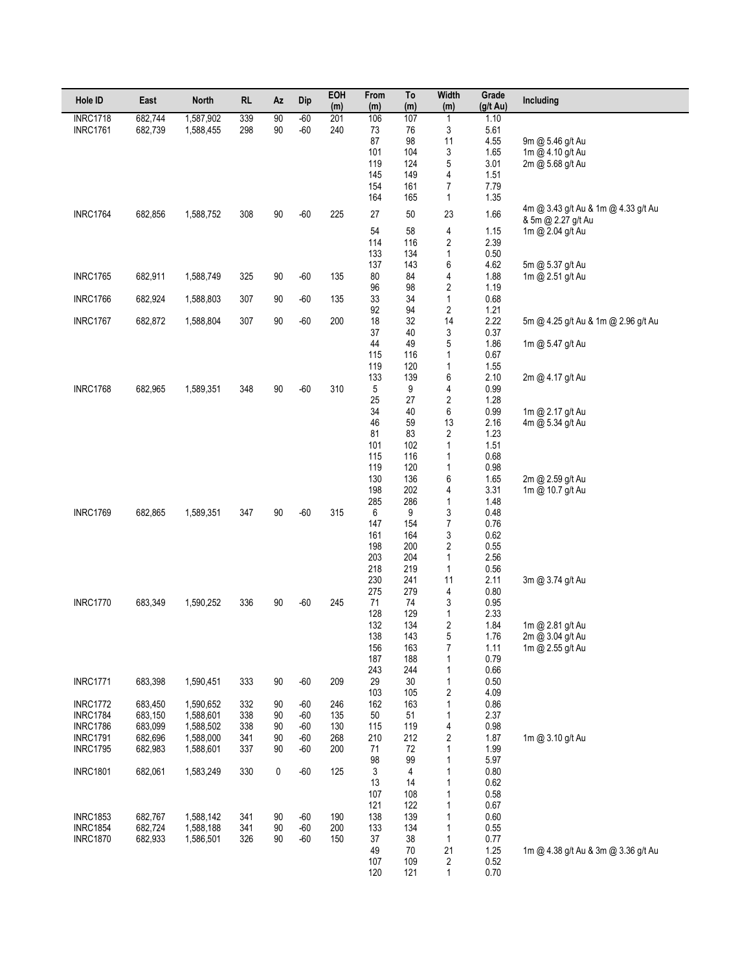| Hole ID                            | East               | <b>North</b>           | <b>RL</b>  | Αz        | Dip            | EOH<br>(m) | From<br>(m) | To<br>(m)  | <b>Width</b><br>(m)                     | Grade<br>$(g/t \text{ Au})$ | Including                                                 |
|------------------------------------|--------------------|------------------------|------------|-----------|----------------|------------|-------------|------------|-----------------------------------------|-----------------------------|-----------------------------------------------------------|
| <b>INRC1718</b>                    | 682,744            | 1,587,902              | 339        | 90        | $-60$          | 201        | 106         | 107        | $\mathbf{1}$                            | 1.10                        |                                                           |
| <b>INRC1761</b>                    | 682,739            | 1,588,455              | 298        | 90        | $-60$          | 240        | 73<br>87    | 76<br>98   | 3<br>11                                 | 5.61                        |                                                           |
|                                    |                    |                        |            |           |                |            | 101         | 104        | 3                                       | 4.55<br>1.65                | 9m @ 5.46 g/t Au<br>1m @ 4.10 g/t Au                      |
|                                    |                    |                        |            |           |                |            | 119         | 124        | 5                                       | 3.01                        | 2m @ 5.68 g/t Au                                          |
|                                    |                    |                        |            |           |                |            | 145         | 149        | 4                                       | 1.51                        |                                                           |
|                                    |                    |                        |            |           |                |            | 154<br>164  | 161<br>165 | 7<br>$\mathbf{1}$                       | 7.79<br>1.35                |                                                           |
| <b>INRC1764</b>                    | 682,856            | 1,588,752              | 308        | 90        | $-60$          | 225        | 27          | 50         | 23                                      | 1.66                        | 4m @ 3.43 g/t Au & 1m @ 4.33 g/t Au<br>& 5m @ 2.27 g/t Au |
|                                    |                    |                        |            |           |                |            | 54          | 58         | 4                                       | 1.15                        | 1m @ 2.04 g/t Au                                          |
|                                    |                    |                        |            |           |                |            | 114         | 116<br>134 | $\sqrt{2}$                              | 2.39                        |                                                           |
|                                    |                    |                        |            |           |                |            | 133<br>137  | 143        | $\mathbf{1}$<br>6                       | 0.50<br>4.62                | 5m @ 5.37 g/t Au                                          |
| <b>INRC1765</b>                    | 682,911            | 1,588,749              | 325        | 90        | -60            | 135        | 80          | 84         | 4                                       | 1.88                        | 1m @ 2.51 g/t Au                                          |
|                                    |                    |                        |            |           |                |            | 96          | 98         | $\sqrt{2}$                              | 1.19                        |                                                           |
| <b>INRC1766</b>                    | 682,924            | 1,588,803              | 307        | 90        | -60            | 135        | 33<br>92    | 34<br>94   | $\mathbf{1}$<br>$\overline{\mathbf{c}}$ | 0.68<br>1.21                |                                                           |
| <b>INRC1767</b>                    | 682,872            | 1,588,804              | 307        | 90        | $-60$          | 200        | 18          | 32         | 14                                      | 2.22                        | 5m @ 4.25 g/t Au & 1m @ 2.96 g/t Au                       |
|                                    |                    |                        |            |           |                |            | 37          | 40         | 3                                       | 0.37                        |                                                           |
|                                    |                    |                        |            |           |                |            | 44          | 49         | 5                                       | 1.86                        | 1m @ 5.47 g/t Au                                          |
|                                    |                    |                        |            |           |                |            | 115<br>119  | 116<br>120 | 1<br>1                                  | 0.67<br>1.55                |                                                           |
|                                    |                    |                        |            |           |                |            | 133         | 139        | 6                                       | 2.10                        | 2m @ 4.17 g/t Au                                          |
| <b>INRC1768</b>                    | 682,965            | 1,589,351              | 348        | 90        | $-60$          | 310        | 5           | 9          | 4                                       | 0.99                        |                                                           |
|                                    |                    |                        |            |           |                |            | 25          | 27         | $\overline{\mathbf{c}}$                 | 1.28                        |                                                           |
|                                    |                    |                        |            |           |                |            | 34<br>46    | 40<br>59   | 6<br>13                                 | 0.99<br>2.16                | 1m @ 2.17 g/t Au<br>4m @ 5.34 g/t Au                      |
|                                    |                    |                        |            |           |                |            | 81          | 83         | 2                                       | 1.23                        |                                                           |
|                                    |                    |                        |            |           |                |            | 101         | 102        | $\mathbf{1}$                            | 1.51                        |                                                           |
|                                    |                    |                        |            |           |                |            | 115         | 116        | 1                                       | 0.68                        |                                                           |
|                                    |                    |                        |            |           |                |            | 119<br>130  | 120<br>136 | 1<br>6                                  | 0.98<br>1.65                | 2m @ 2.59 g/t Au                                          |
|                                    |                    |                        |            |           |                |            | 198         | 202        | 4                                       | 3.31                        | 1m @ 10.7 g/t Au                                          |
|                                    |                    |                        |            |           |                |            | 285         | 286        | 1                                       | 1.48                        |                                                           |
| <b>INRC1769</b>                    | 682,865            | 1,589,351              | 347        | 90        | $-60$          | 315        | 6           | 9          | 3                                       | 0.48                        |                                                           |
|                                    |                    |                        |            |           |                |            | 147<br>161  | 154<br>164 | $\overline{7}$<br>3                     | 0.76<br>0.62                |                                                           |
|                                    |                    |                        |            |           |                |            | 198         | 200        | $\overline{\mathbf{c}}$                 | 0.55                        |                                                           |
|                                    |                    |                        |            |           |                |            | 203         | 204        | 1                                       | 2.56                        |                                                           |
|                                    |                    |                        |            |           |                |            | 218<br>230  | 219        | 1                                       | 0.56                        |                                                           |
|                                    |                    |                        |            |           |                |            | 275         | 241<br>279 | 11<br>4                                 | 2.11<br>0.80                | 3m @ 3.74 g/t Au                                          |
| <b>INRC1770</b>                    | 683,349            | 1,590,252              | 336        | 90        | $-60$          | 245        | 71          | 74         | 3                                       | 0.95                        |                                                           |
|                                    |                    |                        |            |           |                |            | 128         | 129        | 1                                       | 2.33                        |                                                           |
|                                    |                    |                        |            |           |                |            | 132         | 134        | 2                                       | 1.84                        | 1m @ 2.81 g/t Au                                          |
|                                    |                    |                        |            |           |                |            | 138<br>156  | 143<br>163 | 5<br>$\overline{7}$                     | 1.76<br>1.11                | 2m @ 3.04 g/t Au<br>1m @ 2.55 g/t Au                      |
|                                    |                    |                        |            |           |                |            | 187         | 188        | 1                                       | 0.79                        |                                                           |
|                                    |                    |                        |            |           |                |            | 243         | 244        | 1                                       | 0.66                        |                                                           |
| <b>INRC1771</b>                    | 683,398            | 1,590,451              | 333        | 90        | $-60$          | 209        | 29<br>103   | 30<br>105  | $\mathbf{1}$<br>$\sqrt{2}$              | 0.50<br>4.09                |                                                           |
| <b>INRC1772</b>                    | 683,450            | 1,590,652              | 332        | 90        | $-60$          | 246        | 162         | 163        | 1                                       | 0.86                        |                                                           |
| <b>INRC1784</b>                    | 683,150            | 1,588,601              | 338        | 90        | $-60$          | 135        | 50          | 51         | $\mathbf{1}$                            | 2.37                        |                                                           |
| <b>INRC1786</b><br><b>INRC1791</b> | 683,099<br>682,696 | 1,588,502<br>1,588,000 | 338<br>341 | 90<br>90  | $-60$<br>$-60$ | 130<br>268 | 115<br>210  | 119<br>212 | 4<br>$\sqrt{2}$                         | 0.98<br>1.87                | 1m @ 3.10 g/t Au                                          |
| <b>INRC1795</b>                    | 682,983            | 1,588,601              | 337        | 90        | -60            | 200        | 71          | 72         | 1                                       | 1.99                        |                                                           |
|                                    |                    |                        |            |           |                |            | 98          | 99         | 1                                       | 5.97                        |                                                           |
| <b>INRC1801</b>                    | 682,061            | 1,583,249              | 330        | $\pmb{0}$ | $-60$          | 125        | 3           | 4          | 1                                       | 0.80                        |                                                           |
|                                    |                    |                        |            |           |                |            | 13<br>107   | 14<br>108  | $\mathbf{1}$<br>1                       | 0.62<br>0.58                |                                                           |
|                                    |                    |                        |            |           |                |            | 121         | 122        | 1                                       | 0.67                        |                                                           |
| <b>INRC1853</b>                    | 682,767            | 1,588,142              | 341        | 90        | $-60$          | 190        | 138         | 139        | 1                                       | 0.60                        |                                                           |
| <b>INRC1854</b>                    | 682,724            | 1,588,188              | 341        | 90        | $-60$          | 200        | 133         | 134        | 1                                       | 0.55                        |                                                           |
| <b>INRC1870</b>                    | 682,933            | 1,586,501              | 326        | 90        | $-60$          | 150        | 37<br>49    | 38<br>70   | $\mathbf{1}$<br>21                      | 0.77<br>1.25                | 1m @ 4.38 g/t Au & 3m @ 3.36 g/t Au                       |
|                                    |                    |                        |            |           |                |            | 107         | 109        | $\sqrt{2}$                              | 0.52                        |                                                           |
|                                    |                    |                        |            |           |                |            | 120         | 121        | $\mathbf{1}$                            | 0.70                        |                                                           |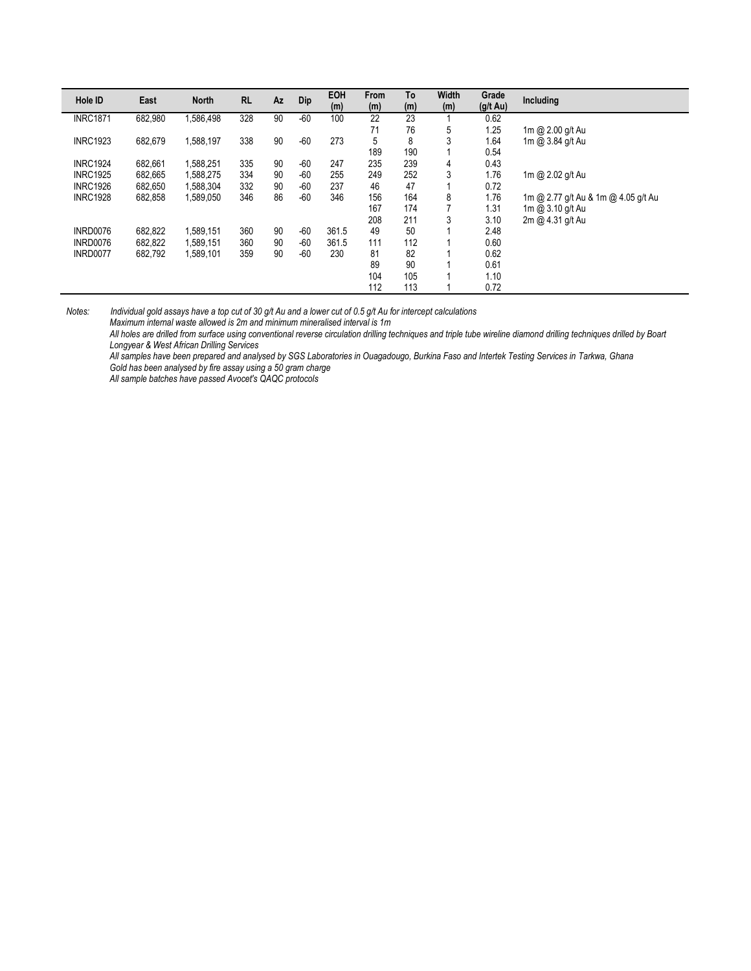| Hole ID         | East    | <b>North</b> | <b>RL</b> | Az | Dip   | <b>EOH</b><br>(m) | <b>From</b><br>(m) | To<br>(m) | Width<br>(m)   | Grade<br>$(g/t \text{ Au})$ | Including                           |
|-----------------|---------|--------------|-----------|----|-------|-------------------|--------------------|-----------|----------------|-----------------------------|-------------------------------------|
| <b>INRC1871</b> | 682.980 | 1,586,498    | 328       | 90 | $-60$ | 100               | 22                 | 23        |                | 0.62                        |                                     |
|                 |         |              |           |    |       |                   | 71                 | 76        | 5              | 1.25                        | 1m @ 2.00 g/t Au                    |
| <b>INRC1923</b> | 682.679 | 1,588,197    | 338       | 90 | $-60$ | 273               | 5                  | 8         | 3              | 1.64                        | 1m @ 3.84 g/t Au                    |
|                 |         |              |           |    |       |                   | 189                | 190       |                | 0.54                        |                                     |
| <b>INRC1924</b> | 682.661 | 1,588,251    | 335       | 90 | $-60$ | 247               | 235                | 239       | 4              | 0.43                        |                                     |
| <b>INRC1925</b> | 682.665 | 1,588,275    | 334       | 90 | $-60$ | 255               | 249                | 252       | 3              | 1.76                        | 1m @ 2.02 g/t Au                    |
| <b>INRC1926</b> | 682.650 | 1,588,304    | 332       | 90 | $-60$ | 237               | 46                 | 47        |                | 0.72                        |                                     |
| <b>INRC1928</b> | 682,858 | 1,589,050    | 346       | 86 | $-60$ | 346               | 156                | 164       | 8              | 1.76                        | 1m @ 2.77 g/t Au & 1m @ 4.05 g/t Au |
|                 |         |              |           |    |       |                   | 167                | 174       | $\overline{ }$ | 1.31                        | 1m @ 3.10 g/t Au                    |
|                 |         |              |           |    |       |                   | 208                | 211       | 3              | 3.10                        | 2m @ 4.31 g/t Au                    |
| INRD0076        | 682,822 | 1,589,151    | 360       | 90 | $-60$ | 361.5             | 49                 | 50        |                | 2.48                        |                                     |
| INRD0076        | 682.822 | 1,589,151    | 360       | 90 | $-60$ | 361.5             | 111                | 112       |                | 0.60                        |                                     |
| INRD0077        | 682,792 | 1,589,101    | 359       | 90 | $-60$ | 230               | 81                 | 82        |                | 0.62                        |                                     |
|                 |         |              |           |    |       |                   | 89                 | 90        |                | 0.61                        |                                     |
|                 |         |              |           |    |       |                   | 104                | 105       |                | 1.10                        |                                     |
|                 |         |              |           |    |       |                   | 112                | 113       |                | 0.72                        |                                     |

*Maximum internal waste allowed is 2m and minimum mineralised interval is 1m*

*All holes are drilled from surface using conventional reverse circulation drilling techniques and triple tube wireline diamond drilling techniques drilled by Boart Longyear & West African Drilling Services*

*All samples have been prepared and analysed by SGS Laboratories in Ouagadougo, Burkina Faso and Intertek Testing Services in Tarkwa, Ghana Gold has been analysed by fire assay using a 50 gram charge*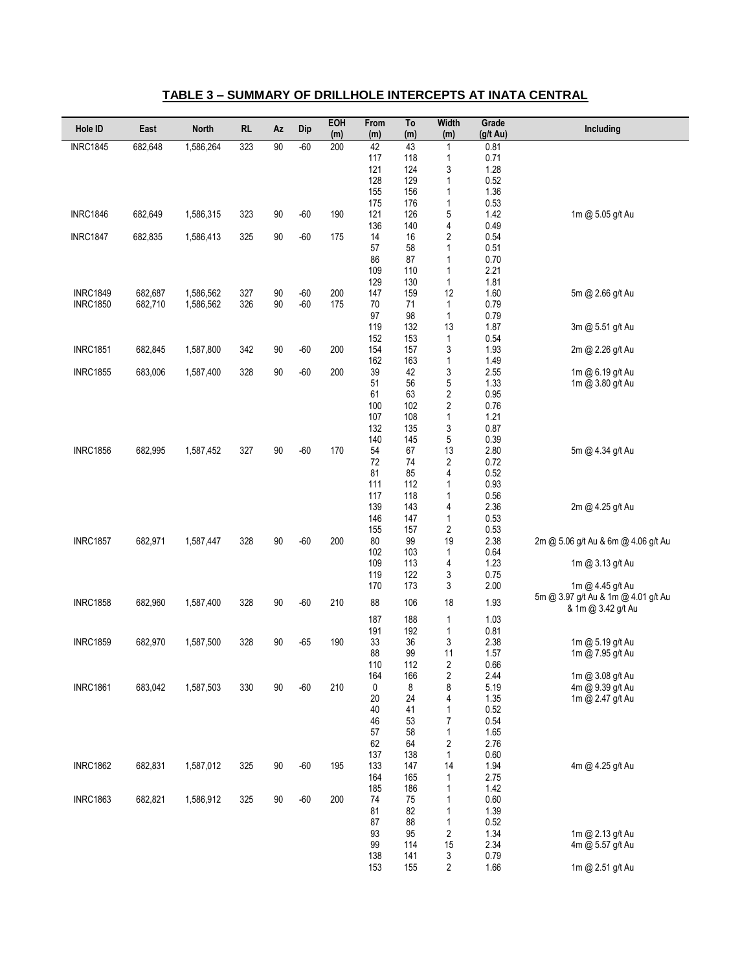| Hole ID         | East    | <b>North</b> | <b>RL</b> | Az       | Dip            | EOH<br>(m) | From<br>(m) | To<br>(m)  | Width<br>(m)            | Grade<br>(g/t Au) | Including                            |
|-----------------|---------|--------------|-----------|----------|----------------|------------|-------------|------------|-------------------------|-------------------|--------------------------------------|
| <b>INRC1845</b> | 682,648 | 1,586,264    | 323       | 90       | $-60$          | 200        | 42          | 43         | 1                       | 0.81              |                                      |
|                 |         |              |           |          |                |            | 117         | 118        | 1                       | 0.71              |                                      |
|                 |         |              |           |          |                |            | 121<br>128  | 124<br>129 | 3<br>1                  | 1.28<br>0.52      |                                      |
|                 |         |              |           |          |                |            | 155         | 156        | 1                       | 1.36              |                                      |
|                 |         |              |           |          |                |            | 175         | 176        | 1                       | 0.53              |                                      |
| <b>INRC1846</b> | 682,649 | 1,586,315    | 323       | 90       | $-60$          | 190        | 121         | 126        | 5                       | 1.42              | 1m @ 5.05 g/t Au                     |
|                 |         |              |           |          |                |            | 136         | 140        | 4                       | 0.49              |                                      |
| <b>INRC1847</b> | 682,835 | 1,586,413    | 325       | 90       | $-60$          | 175        | 14<br>57    | 16<br>58   | 2<br>1                  | 0.54<br>0.51      |                                      |
|                 |         |              |           |          |                |            | 86          | 87         | 1                       | 0.70              |                                      |
|                 |         |              |           |          |                |            | 109         | 110        | 1                       | 2.21              |                                      |
|                 |         |              |           |          |                |            | 129         | 130        | $\mathbf{1}$            | 1.81              |                                      |
| <b>INRC1849</b> | 682,687 | 1,586,562    | 327       | 90<br>90 | $-60$<br>$-60$ | 200<br>175 | 147<br>70   | 159        | 12                      | 1.60<br>0.79      | 5m @ 2.66 g/t Au                     |
| <b>INRC1850</b> | 682,710 | 1,586,562    | 326       |          |                |            | 97          | 71<br>98   | 1<br>$\mathbf{1}$       | 0.79              |                                      |
|                 |         |              |           |          |                |            | 119         | 132        | 13                      | 1.87              | 3m @ 5.51 g/t Au                     |
|                 |         |              |           |          |                |            | 152         | 153        | $\mathbf{1}$            | 0.54              |                                      |
| <b>INRC1851</b> | 682,845 | 1,587,800    | 342       | 90       | $-60$          | 200        | 154         | 157        | 3                       | 1.93              | 2m @ 2.26 g/t Au                     |
| <b>INRC1855</b> | 683,006 | 1,587,400    | 328       | 90       | $-60$          | 200        | 162<br>39   | 163<br>42  | $\mathbf{1}$<br>3       | 1.49<br>2.55      |                                      |
|                 |         |              |           |          |                |            | 51          | 56         | 5                       | 1.33              | 1m @ 6.19 g/t Au<br>1m @ 3.80 g/t Au |
|                 |         |              |           |          |                |            | 61          | 63         | $\overline{\mathbf{c}}$ | 0.95              |                                      |
|                 |         |              |           |          |                |            | 100         | 102        | $\overline{\mathbf{c}}$ | 0.76              |                                      |
|                 |         |              |           |          |                |            | 107         | 108        | 1                       | 1.21              |                                      |
|                 |         |              |           |          |                |            | 132<br>140  | 135<br>145 | 3                       | 0.87<br>0.39      |                                      |
| <b>INRC1856</b> | 682,995 | 1,587,452    | 327       | 90       | $-60$          | 170        | 54          | 67         | 5<br>13                 | 2.80              | 5m @ 4.34 g/t Au                     |
|                 |         |              |           |          |                |            | 72          | 74         | $\sqrt{2}$              | 0.72              |                                      |
|                 |         |              |           |          |                |            | 81          | 85         | 4                       | 0.52              |                                      |
|                 |         |              |           |          |                |            | 111         | 112        | 1                       | 0.93              |                                      |
|                 |         |              |           |          |                |            | 117<br>139  | 118<br>143 | 1<br>4                  | 0.56<br>2.36      |                                      |
|                 |         |              |           |          |                |            | 146         | 147        | 1                       | 0.53              | 2m @ 4.25 g/t Au                     |
|                 |         |              |           |          |                |            | 155         | 157        | $\sqrt{2}$              | 0.53              |                                      |
| <b>INRC1857</b> | 682,971 | 1,587,447    | 328       | 90       | $-60$          | 200        | 80          | 99         | 19                      | 2.38              | 2m @ 5.06 g/t Au & 6m @ 4.06 g/t Au  |
|                 |         |              |           |          |                |            | 102         | 103        | $\mathbf{1}$            | 0.64              |                                      |
|                 |         |              |           |          |                |            | 109<br>119  | 113<br>122 | 4<br>3                  | 1.23<br>0.75      | 1m @ 3.13 g/t Au                     |
|                 |         |              |           |          |                |            | 170         | 173        | 3                       | 2.00              | 1m @ 4.45 g/t Au                     |
| <b>INRC1858</b> | 682,960 | 1,587,400    | 328       | 90       | $-60$          | 210        | 88          | 106        | 18                      | 1.93              | 5m @ 3.97 g/t Au & 1m @ 4.01 g/t Au  |
|                 |         |              |           |          |                |            |             |            |                         |                   | & 1m @ 3.42 g/t Au                   |
|                 |         |              |           |          |                |            | 187         | 188        | 1                       | 1.03              |                                      |
| <b>INRC1859</b> | 682,970 | 1,587,500    | 328       | 90       | $-65$          | 190        | 191<br>33   | 192<br>36  | $\mathbf{1}$<br>3       | 0.81<br>2.38      | 1m @ 5.19 g/t Au                     |
|                 |         |              |           |          |                |            | 88          | 99         | 11                      | 1.57              | 1m @ 7.95 g/t Au                     |
|                 |         |              |           |          |                |            | 110         | 112        | 2                       | 0.66              |                                      |
|                 |         |              |           |          |                |            | 164         | 166        | $\boldsymbol{2}$        | 2.44              | 1m @ 3.08 g/t Au                     |
| <b>INRC1861</b> | 683,042 | 1,587,503    | 330       | 90       | $-60$          | 210        | 0<br>20     | 8<br>24    | 8<br>4                  | 5.19<br>1.35      | 4m @ 9.39 g/t Au<br>1m @ 2.47 g/t Au |
|                 |         |              |           |          |                |            | 40          | 41         | 1                       | 0.52              |                                      |
|                 |         |              |           |          |                |            | 46          | 53         | $\boldsymbol{7}$        | 0.54              |                                      |
|                 |         |              |           |          |                |            | 57          | 58         | 1                       | 1.65              |                                      |
|                 |         |              |           |          |                |            | 62          | 64         | $\sqrt{2}$              | 2.76              |                                      |
| <b>INRC1862</b> | 682,831 | 1,587,012    | 325       | 90       | $-60$          | 195        | 137<br>133  | 138<br>147 | $\mathbf{1}$<br>14      | 0.60<br>1.94      | 4m @ 4.25 g/t Au                     |
|                 |         |              |           |          |                |            | 164         | 165        | 1                       | 2.75              |                                      |
|                 |         |              |           |          |                |            | 185         | 186        | 1                       | 1.42              |                                      |
| <b>INRC1863</b> | 682,821 | 1,586,912    | 325       | 90       | $-60$          | 200        | 74          | 75         | 1                       | 0.60              |                                      |
|                 |         |              |           |          |                |            | 81          | 82         | $\mathbf{1}$            | 1.39              |                                      |
|                 |         |              |           |          |                |            | 87<br>93    | 88<br>95   | 1<br>$\sqrt{2}$         | 0.52<br>1.34      | 1m @ 2.13 g/t Au                     |
|                 |         |              |           |          |                |            | 99          | 114        | 15                      | 2.34              | 4m @ 5.57 g/t Au                     |
|                 |         |              |           |          |                |            | 138         | 141        | 3                       | 0.79              |                                      |
|                 |         |              |           |          |                |            | 153         | 155        | 2                       | 1.66              | 1m @ 2.51 g/t Au                     |

#### **TABLE 3 – SUMMARY OF DRILLHOLE INTERCEPTS AT INATA CENTRAL**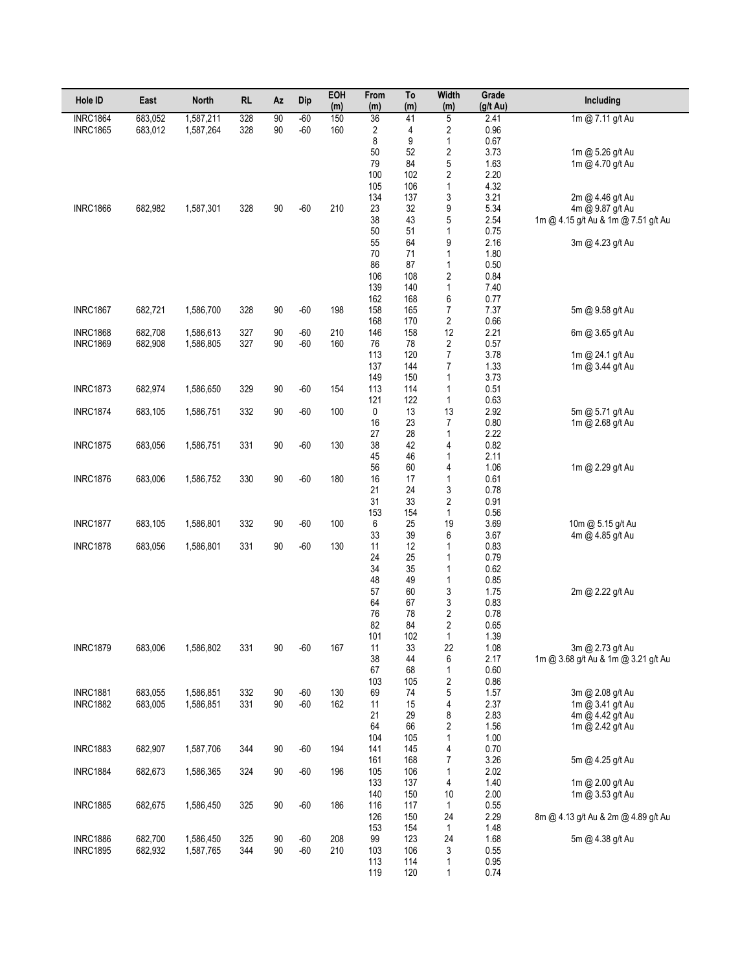| Hole ID         | East    | <b>North</b> | <b>RL</b> | Az | Dip   | EOH<br>(m) | From<br>(m) | To<br>(m)  | <b>Width</b><br>(m)          | Grade<br>$(g/t \text{ Au})$ | Including                                               |
|-----------------|---------|--------------|-----------|----|-------|------------|-------------|------------|------------------------------|-----------------------------|---------------------------------------------------------|
| <b>INRC1864</b> | 683,052 | 1,587,211    | 328       | 90 | $-60$ | 150        | 36          | 41         | $\overline{5}$               | 2.41                        | 1m @ 7.11 g/t Au                                        |
| <b>INRC1865</b> | 683,012 | 1,587,264    | 328       | 90 | $-60$ | 160        | 2           | 4          | 2                            | 0.96                        |                                                         |
|                 |         |              |           |    |       |            | 8<br>50     | 9<br>52    | $\mathbf{1}$                 | 0.67                        |                                                         |
|                 |         |              |           |    |       |            | 79          | 84         | $\overline{\mathbf{c}}$<br>5 | 3.73<br>1.63                | 1m @ 5.26 g/t Au<br>1m @ 4.70 g/t Au                    |
|                 |         |              |           |    |       |            | 100         | 102        | $\sqrt{2}$                   | 2.20                        |                                                         |
|                 |         |              |           |    |       |            | 105         | 106        | $\mathbf{1}$                 | 4.32                        |                                                         |
|                 |         |              |           |    |       |            | 134         | 137        | 3                            | 3.21                        | 2m @ 4.46 g/t Au                                        |
| <b>INRC1866</b> | 682,982 | 1,587,301    | 328       | 90 | $-60$ | 210        | 23          | 32         | 9                            | 5.34                        | 4m @ 9.87 g/t Au                                        |
|                 |         |              |           |    |       |            | 38<br>50    | 43<br>51   | 5<br>$\mathbf{1}$            | 2.54<br>0.75                | 1m @ 4.15 g/t Au & 1m @ 7.51 g/t Au                     |
|                 |         |              |           |    |       |            | 55          | 64         | 9                            | 2.16                        | 3m @ 4.23 g/t Au                                        |
|                 |         |              |           |    |       |            | 70          | 71         | $\mathbf{1}$                 | 1.80                        |                                                         |
|                 |         |              |           |    |       |            | 86          | 87         | $\mathbf{1}$                 | 0.50                        |                                                         |
|                 |         |              |           |    |       |            | 106         | 108        | $\sqrt{2}$                   | 0.84                        |                                                         |
|                 |         |              |           |    |       |            | 139         | 140        | $\mathbf{1}$                 | 7.40                        |                                                         |
| <b>INRC1867</b> | 682,721 | 1,586,700    | 328       | 90 | $-60$ | 198        | 162<br>158  | 168<br>165 | 6<br>$\boldsymbol{7}$        | 0.77<br>7.37                | 5m @ 9.58 g/t Au                                        |
|                 |         |              |           |    |       |            | 168         | 170        | $\sqrt{2}$                   | 0.66                        |                                                         |
| <b>INRC1868</b> | 682,708 | 1,586,613    | 327       | 90 | $-60$ | 210        | 146         | 158        | 12                           | 2.21                        | 6m @ 3.65 g/t Au                                        |
| <b>INRC1869</b> | 682,908 | 1,586,805    | 327       | 90 | $-60$ | 160        | 76          | 78         | $\sqrt{2}$                   | 0.57                        |                                                         |
|                 |         |              |           |    |       |            | 113         | 120        | $\boldsymbol{7}$             | 3.78                        | 1m @ 24.1 g/t Au                                        |
|                 |         |              |           |    |       |            | 137         | 144        | $\boldsymbol{7}$             | 1.33                        | 1m @ 3.44 g/t Au                                        |
| <b>INRC1873</b> | 682,974 | 1,586,650    | 329       | 90 | $-60$ | 154        | 149<br>113  | 150<br>114 | $\mathbf{1}$<br>$\mathbf{1}$ | 3.73<br>0.51                |                                                         |
|                 |         |              |           |    |       |            | 121         | 122        | 1                            | 0.63                        |                                                         |
| <b>INRC1874</b> | 683,105 | 1,586,751    | 332       | 90 | $-60$ | 100        | 0           | 13         | 13                           | 2.92                        | 5m @ 5.71 g/t Au                                        |
|                 |         |              |           |    |       |            | 16          | 23         | $\overline{7}$               | 0.80                        | 1m @ 2.68 g/t Au                                        |
|                 |         |              |           |    |       |            | 27          | 28         | $\mathbf{1}$                 | 2.22                        |                                                         |
| <b>INRC1875</b> | 683,056 | 1,586,751    | 331       | 90 | $-60$ | 130        | 38          | 42<br>46   | 4                            | 0.82                        |                                                         |
|                 |         |              |           |    |       |            | 45<br>56    | 60         | $\mathbf{1}$<br>4            | 2.11<br>1.06                | 1m @ 2.29 g/t Au                                        |
| <b>INRC1876</b> | 683,006 | 1,586,752    | 330       | 90 | $-60$ | 180        | 16          | 17         | $\mathbf{1}$                 | 0.61                        |                                                         |
|                 |         |              |           |    |       |            | 21          | 24         | 3                            | 0.78                        |                                                         |
|                 |         |              |           |    |       |            | 31          | 33         | $\sqrt{2}$                   | 0.91                        |                                                         |
| <b>INRC1877</b> | 683,105 | 1,586,801    | 332       | 90 | $-60$ | 100        | 153<br>6    | 154<br>25  | $\mathbf{1}$<br>19           | 0.56<br>3.69                | 10m @ 5.15 g/t Au                                       |
|                 |         |              |           |    |       |            | 33          | 39         | 6                            | 3.67                        | 4m @ 4.85 g/t Au                                        |
| <b>INRC1878</b> | 683,056 | 1,586,801    | 331       | 90 | $-60$ | 130        | 11          | 12         | $\mathbf{1}$                 | 0.83                        |                                                         |
|                 |         |              |           |    |       |            | 24          | 25         | $\mathbf{1}$                 | 0.79                        |                                                         |
|                 |         |              |           |    |       |            | 34          | 35         | $\mathbf{1}$                 | 0.62                        |                                                         |
|                 |         |              |           |    |       |            | 48<br>57    | 49<br>60   | $\mathbf{1}$                 | 0.85                        | 2m @ 2.22 g/t Au                                        |
|                 |         |              |           |    |       |            | 64          | 67         | 3<br>3                       | 1.75<br>0.83                |                                                         |
|                 |         |              |           |    |       |            | 76          | 78         | $\sqrt{2}$                   | 0.78                        |                                                         |
|                 |         |              |           |    |       |            | 82          | 84         | 2                            | 0.65                        |                                                         |
|                 |         |              |           |    |       |            | 101         | 102        | 1                            | 1.39                        |                                                         |
| <b>INRC1879</b> | 683,006 | 1,586,802    | 331       | 90 | $-60$ | 167        | 11<br>38    | 33<br>44   | 22<br>6                      | 1.08                        | 3m @ 2.73 g/t Au<br>1m @ 3.68 g/t Au & 1m @ 3.21 g/t Au |
|                 |         |              |           |    |       |            | 67          | 68         | $\mathbf{1}$                 | 2.17<br>0.60                |                                                         |
|                 |         |              |           |    |       |            | 103         | 105        | $\sqrt{2}$                   | 0.86                        |                                                         |
| <b>INRC1881</b> | 683,055 | 1,586,851    | 332       | 90 | $-60$ | 130        | 69          | 74         | 5                            | 1.57                        | 3m @ 2.08 g/t Au                                        |
| <b>INRC1882</b> | 683,005 | 1,586,851    | 331       | 90 | $-60$ | 162        | 11          | 15         | 4                            | 2.37                        | 1m @ 3.41 g/t Au                                        |
|                 |         |              |           |    |       |            | 21<br>64    | 29<br>66   | 8                            | 2.83                        | 4m @ 4.42 g/t Au                                        |
|                 |         |              |           |    |       |            | 104         | 105        | $\sqrt{2}$<br>$\mathbf{1}$   | 1.56<br>1.00                | 1m @ 2.42 g/t Au                                        |
| <b>INRC1883</b> | 682,907 | 1,587,706    | 344       | 90 | $-60$ | 194        | 141         | 145        | 4                            | 0.70                        |                                                         |
|                 |         |              |           |    |       |            | 161         | 168        | 7                            | 3.26                        | 5m @ 4.25 g/t Au                                        |
| <b>INRC1884</b> | 682,673 | 1,586,365    | 324       | 90 | $-60$ | 196        | 105         | 106        | 1                            | 2.02                        |                                                         |
|                 |         |              |           |    |       |            | 133<br>140  | 137<br>150 | 4                            | 1.40                        | 1m @ 2.00 g/t Au                                        |
| <b>INRC1885</b> | 682,675 | 1,586,450    | 325       | 90 | $-60$ | 186        | 116         | 117        | 10<br>$\mathbf{1}$           | 2.00<br>0.55                | 1m @ 3.53 g/t Au                                        |
|                 |         |              |           |    |       |            | 126         | 150        | 24                           | 2.29                        | 8m @ 4.13 g/t Au & 2m @ 4.89 g/t Au                     |
|                 |         |              |           |    |       |            | 153         | 154        | $\mathbf{1}$                 | 1.48                        |                                                         |
| <b>INRC1886</b> | 682,700 | 1,586,450    | 325       | 90 | $-60$ | 208        | 99          | 123        | 24                           | 1.68                        | 5m @ 4.38 g/t Au                                        |
| <b>INRC1895</b> | 682,932 | 1,587,765    | 344       | 90 | $-60$ | 210        | 103<br>113  | 106<br>114 | 3                            | 0.55<br>0.95                |                                                         |
|                 |         |              |           |    |       |            | 119         | 120        | 1<br>1                       | 0.74                        |                                                         |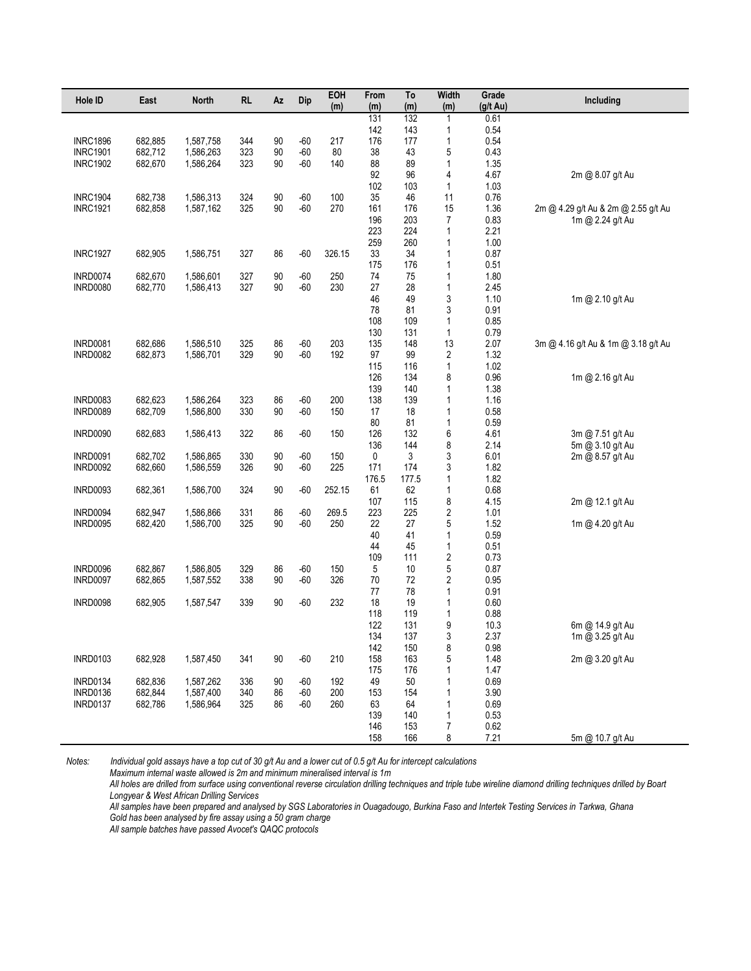| Hole ID         | East    | <b>North</b> | <b>RL</b>  | Az       | Dip   | EOH<br>(m) | From<br>(m) | To<br>(m)  | Width<br>(m) | Grade<br>$(g/t \text{ Au})$ | Including                                               |
|-----------------|---------|--------------|------------|----------|-------|------------|-------------|------------|--------------|-----------------------------|---------------------------------------------------------|
|                 |         |              |            |          |       |            | 131         | 132        | $\mathbf{1}$ | 0.61                        |                                                         |
|                 |         |              |            |          |       |            | 142         | 143        | 1            | 0.54                        |                                                         |
| <b>INRC1896</b> | 682,885 | 1,587,758    | 344        | 90       | $-60$ | 217        | 176         | 177        | 1            | 0.54                        |                                                         |
| <b>INRC1901</b> | 682,712 | 1,586,263    | 323        | 90       | $-60$ | 80         | 38          | 43         | 5            | 0.43                        |                                                         |
| <b>INRC1902</b> | 682,670 | 1,586,264    | 323        | 90       | $-60$ | 140        | 88          | 89         | $\mathbf{1}$ | 1.35                        |                                                         |
|                 |         |              |            |          |       |            | 92          | 96         | 4            | 4.67                        | 2m @ 8.07 g/t Au                                        |
|                 |         |              |            |          | $-60$ | 100        | 102<br>35   | 103<br>46  | 1            | 1.03                        |                                                         |
| <b>INRC1904</b> | 682,738 | 1,586,313    | 324<br>325 | 90<br>90 | $-60$ | 270        | 161         | 176        | 11           | 0.76                        |                                                         |
| <b>INRC1921</b> | 682,858 | 1,587,162    |            |          |       |            | 196         | 203        | 15<br>7      | 1.36<br>0.83                | 2m @ 4.29 g/t Au & 2m @ 2.55 g/t Au<br>1m @ 2.24 g/t Au |
|                 |         |              |            |          |       |            | 223         | 224        | 1            | 2.21                        |                                                         |
|                 |         |              |            |          |       |            | 259         | 260        | 1            | 1.00                        |                                                         |
| <b>INRC1927</b> | 682,905 | 1,586,751    | 327        | 86       | $-60$ | 326.15     | 33          | 34         | 1            | 0.87                        |                                                         |
|                 |         |              |            |          |       |            | 175         | 176        | 1            | 0.51                        |                                                         |
| <b>INRD0074</b> | 682,670 | 1,586,601    | 327        | 90       | $-60$ | 250        | 74          | 75         | 1            | 1.80                        |                                                         |
| <b>INRD0080</b> | 682,770 | 1,586,413    | 327        | 90       | $-60$ | 230        | 27          | 28         | 1            | 2.45                        |                                                         |
|                 |         |              |            |          |       |            | 46          | 49         | 3            | 1.10                        | 1m @ 2.10 g/t Au                                        |
|                 |         |              |            |          |       |            | 78          | 81         | 3            | 0.91                        |                                                         |
|                 |         |              |            |          |       |            | 108         | 109        | 1            | 0.85                        |                                                         |
|                 |         |              |            |          |       |            | 130         | 131        | 1            | 0.79                        |                                                         |
| <b>INRD0081</b> | 682,686 | 1,586,510    | 325        | 86       | $-60$ | 203        | 135         | 148        | 13           | 2.07                        | 3m @ 4.16 g/t Au & 1m @ 3.18 g/t Au                     |
| <b>INRD0082</b> | 682,873 | 1,586,701    | 329        | 90       | $-60$ | 192        | 97          | 99         | 2            | 1.32                        |                                                         |
|                 |         |              |            |          |       |            | 115         | 116        | $\mathbf{1}$ | 1.02                        |                                                         |
|                 |         |              |            |          |       |            | 126         | 134        | 8            | 0.96                        | 1m @ 2.16 g/t Au                                        |
|                 |         |              |            |          |       |            | 139         | 140        | 1            | 1.38                        |                                                         |
| <b>INRD0083</b> | 682,623 | 1.586.264    | 323        | 86       | $-60$ | 200        | 138         | 139        | 1            | 1.16                        |                                                         |
| <b>INRD0089</b> | 682,709 | 1,586,800    | 330        | 90       | $-60$ | 150        | 17<br>80    | 18         | 1            | 0.58                        |                                                         |
| <b>INRD0090</b> | 682,683 | 1,586,413    | 322        | 86       | $-60$ | 150        | 126         | 81<br>132  | 1<br>6       | 0.59<br>4.61                |                                                         |
|                 |         |              |            |          |       |            | 136         | 144        | 8            | 2.14                        | 3m @ 7.51 g/t Au<br>5m @ 3.10 g/t Au                    |
| <b>INRD0091</b> | 682,702 | 1,586,865    | 330        | 90       | $-60$ | 150        | 0           | 3          | 3            | 6.01                        | 2m @ 8.57 g/t Au                                        |
| <b>INRD0092</b> | 682,660 | 1,586,559    | 326        | 90       | $-60$ | 225        | 171         | 174        | 3            | 1.82                        |                                                         |
|                 |         |              |            |          |       |            | 176.5       | 177.5      | 1            | 1.82                        |                                                         |
| <b>INRD0093</b> | 682,361 | 1,586,700    | 324        | 90       | $-60$ | 252.15     | 61          | 62         | 1            | 0.68                        |                                                         |
|                 |         |              |            |          |       |            | 107         | 115        | 8            | 4.15                        | 2m @ 12.1 g/t Au                                        |
| INRD0094        | 682,947 | 1,586,866    | 331        | 86       | $-60$ | 269.5      | 223         | 225        | $\sqrt{2}$   | 1.01                        |                                                         |
| <b>INRD0095</b> | 682,420 | 1,586,700    | 325        | 90       | $-60$ | 250        | 22          | 27         | 5            | 1.52                        | 1m @ 4.20 g/t Au                                        |
|                 |         |              |            |          |       |            | 40          | 41         | 1            | 0.59                        |                                                         |
|                 |         |              |            |          |       |            | 44          | 45         | 1            | 0.51                        |                                                         |
|                 |         |              |            |          |       |            | 109         | 111        | $\sqrt{2}$   | 0.73                        |                                                         |
| <b>INRD0096</b> | 682,867 | 1,586,805    | 329        | 86       | $-60$ | 150        | 5           | 10         | 5            | 0.87                        |                                                         |
| <b>INRD0097</b> | 682,865 | 1,587,552    | 338        | 90       | $-60$ | 326        | 70          | 72         | $\sqrt{2}$   | 0.95                        |                                                         |
|                 |         |              |            |          |       |            | 77          | 78         | 1            | 0.91                        |                                                         |
| <b>INRD0098</b> | 682,905 | 1,587,547    | 339        | 90       | $-60$ | 232        | 18          | 19         | 1            | 0.60                        |                                                         |
|                 |         |              |            |          |       |            | 118<br>122  | 119        | 1            | 0.88                        |                                                         |
|                 |         |              |            |          |       |            | 134         | 131<br>137 | 9<br>3       | 10.3<br>2.37                | 6m @ 14.9 g/t Au<br>1m @ 3.25 g/t Au                    |
|                 |         |              |            |          |       |            | 142         | 150        | 8            | 0.98                        |                                                         |
| <b>INRD0103</b> | 682,928 | 1,587,450    | 341        | 90       | $-60$ | 210        | 158         | 163        | 5            | 1.48                        | 2m @ 3.20 g/t Au                                        |
|                 |         |              |            |          |       |            | 175         | 176        | 1            | 1.47                        |                                                         |
| <b>INRD0134</b> | 682,836 | 1,587,262    | 336        | 90       | $-60$ | 192        | 49          | 50         | 1            | 0.69                        |                                                         |
| <b>INRD0136</b> | 682,844 | 1,587,400    | 340        | 86       | $-60$ | 200        | 153         | 154        | 1            | 3.90                        |                                                         |
| <b>INRD0137</b> | 682,786 | 1,586,964    | 325        | 86       | $-60$ | 260        | 63          | 64         | 1            | 0.69                        |                                                         |
|                 |         |              |            |          |       |            | 139         | 140        | 1            | 0.53                        |                                                         |
|                 |         |              |            |          |       |            | 146         | 153        | 7            | 0.62                        |                                                         |
|                 |         |              |            |          |       |            | 158         | 166        | 8            | 7.21                        | 5m @ 10.7 g/t Au                                        |

*Maximum internal waste allowed is 2m and minimum mineralised interval is 1m*

*All holes are drilled from surface using conventional reverse circulation drilling techniques and triple tube wireline diamond drilling techniques drilled by Boart Longyear & West African Drilling Services*

*All samples have been prepared and analysed by SGS Laboratories in Ouagadougo, Burkina Faso and Intertek Testing Services in Tarkwa, Ghana Gold has been analysed by fire assay using a 50 gram charge*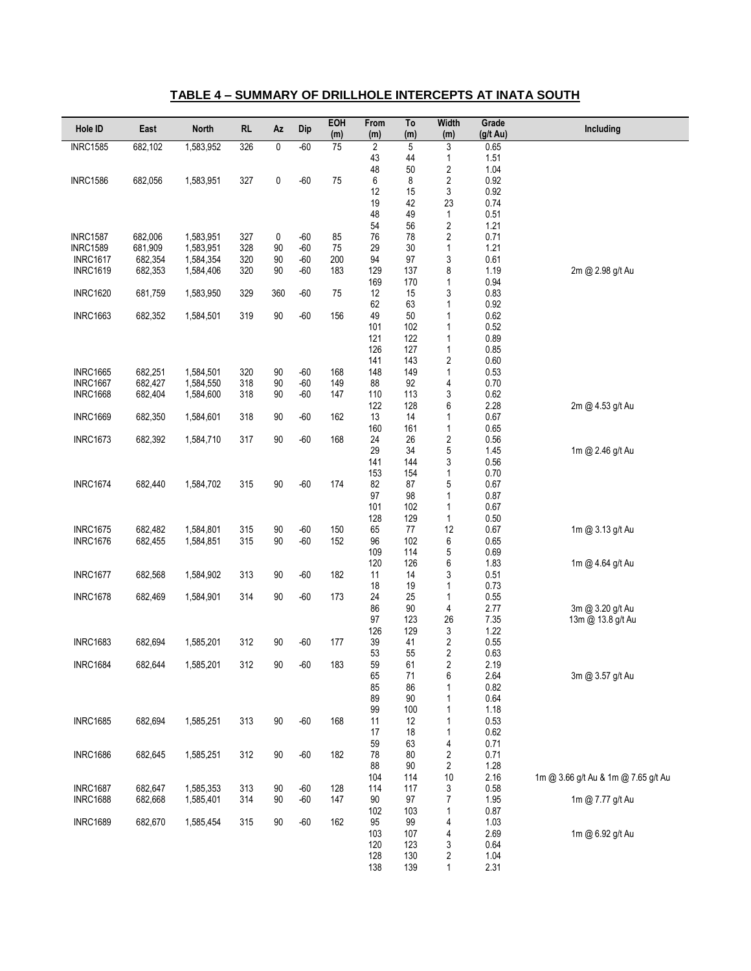#### **TABLE 4 – SUMMARY OF DRILLHOLE INTERCEPTS AT INATA SOUTH**

| Hole ID                            | East               | <b>North</b>           | <b>RL</b>  | Az       | Dip        | EOH<br>(m)      | From<br>(m)    | To<br>(m)    | Width<br>(m)                              | Grade<br>(g/t Au) | Including                             |
|------------------------------------|--------------------|------------------------|------------|----------|------------|-----------------|----------------|--------------|-------------------------------------------|-------------------|---------------------------------------|
| <b>INRC1585</b>                    | 682,102            | 1,583,952              | 326        | 0        | $-60$      | $\overline{75}$ | $\overline{2}$ | 5            | 3                                         | 0.65              |                                       |
|                                    |                    |                        |            |          |            |                 | 43             | 44           | $\mathbf{1}$                              | 1.51              |                                       |
|                                    |                    |                        |            | 0        | $-60$      | 75              | 48<br>6        | 50<br>8      | $\overline{2}$                            | 1.04              |                                       |
| <b>INRC1586</b>                    | 682,056            | 1,583,951              | 327        |          |            |                 | 12             | 15           | $\sqrt{2}$<br>3                           | 0.92<br>0.92      |                                       |
|                                    |                    |                        |            |          |            |                 | 19             | 42           | 23                                        | 0.74              |                                       |
|                                    |                    |                        |            |          |            |                 | 48             | 49           | $\mathbf{1}$                              | 0.51              |                                       |
|                                    |                    |                        |            |          |            |                 | 54             | 56           | $\sqrt{2}$                                | 1.21              |                                       |
| <b>INRC1587</b>                    | 682,006            | 1,583,951              | 327        | 0        | $-60$      | 85              | 76             | 78           | $\sqrt{2}$                                | 0.71              |                                       |
| <b>INRC1589</b><br><b>INRC1617</b> | 681,909<br>682,354 | 1,583,951<br>1,584,354 | 328<br>320 | 90<br>90 | -60<br>-60 | 75<br>200       | 29<br>94       | 30<br>97     | $\mathbf{1}$<br>$\ensuremath{\mathsf{3}}$ | 1.21<br>0.61      |                                       |
| <b>INRC1619</b>                    | 682,353            | 1,584,406              | 320        | 90       | -60        | 183             | 129            | 137          | 8                                         | 1.19              | 2m @ 2.98 g/t Au                      |
|                                    |                    |                        |            |          |            |                 | 169            | 170          | 1                                         | 0.94              |                                       |
| <b>INRC1620</b>                    | 681,759            | 1,583,950              | 329        | 360      | $-60$      | 75              | 12             | 15           | 3                                         | 0.83              |                                       |
|                                    |                    |                        |            |          |            |                 | 62             | 63           | $\mathbf{1}$                              | 0.92              |                                       |
| <b>INRC1663</b>                    | 682,352            | 1,584,501              | 319        | 90       | $-60$      | 156             | 49<br>101      | 50<br>102    | $\mathbf{1}$<br>$\mathbf{1}$              | 0.62<br>0.52      |                                       |
|                                    |                    |                        |            |          |            |                 | 121            | 122          | $\mathbf{1}$                              | 0.89              |                                       |
|                                    |                    |                        |            |          |            |                 | 126            | 127          | $\mathbf{1}$                              | 0.85              |                                       |
|                                    |                    |                        |            |          |            |                 | 141            | 143          | $\sqrt{2}$                                | 0.60              |                                       |
| <b>INRC1665</b>                    | 682,251            | 1,584,501              | 320        | 90       | $-60$      | 168             | 148            | 149          | $\mathbf{1}$                              | 0.53              |                                       |
| <b>INRC1667</b>                    | 682,427            | 1,584,550              | 318        | 90       | $-60$      | 149             | 88             | 92           | 4                                         | 0.70              |                                       |
| <b>INRC1668</b>                    | 682,404            | 1,584,600              | 318        | 90       | $-60$      | 147             | 110<br>122     | 113<br>128   | 3<br>6                                    | 0.62<br>2.28      | 2m @ 4.53 g/t Au                      |
| <b>INRC1669</b>                    | 682,350            | 1,584,601              | 318        | 90       | -60        | 162             | 13             | 14           | $\mathbf{1}$                              | 0.67              |                                       |
|                                    |                    |                        |            |          |            |                 | 160            | 161          | $\mathbf{1}$                              | 0.65              |                                       |
| <b>INRC1673</b>                    | 682,392            | 1,584,710              | 317        | $90\,$   | $-60$      | 168             | 24             | 26           | $\sqrt{2}$                                | 0.56              |                                       |
|                                    |                    |                        |            |          |            |                 | 29             | 34           | 5                                         | 1.45              | 1m @ 2.46 g/t Au                      |
|                                    |                    |                        |            |          |            |                 | 141<br>153     | 144<br>154   | 3<br>1                                    | 0.56<br>0.70      |                                       |
| <b>INRC1674</b>                    | 682,440            | 1,584,702              | 315        | $90\,$   | $-60$      | 174             | 82             | 87           | 5                                         | 0.67              |                                       |
|                                    |                    |                        |            |          |            |                 | 97             | 98           | $\mathbf{1}$                              | 0.87              |                                       |
|                                    |                    |                        |            |          |            |                 | 101            | 102          | $\mathbf{1}$                              | 0.67              |                                       |
|                                    |                    |                        |            |          |            |                 | 128            | 129          | $\mathbf{1}$                              | 0.50              |                                       |
| <b>INRC1675</b>                    | 682,482            | 1,584,801              | 315        | 90       | $-60$      | 150             | 65             | 77           | 12                                        | 0.67              | 1m @ 3.13 g/t Au                      |
| <b>INRC1676</b>                    | 682,455            | 1,584,851              | 315        | 90       | $-60$      | 152             | 96<br>109      | 102<br>114   | 6<br>5                                    | 0.65<br>0.69      |                                       |
|                                    |                    |                        |            |          |            |                 | 120            | 126          | 6                                         | 1.83              | 1m @ 4.64 g/t Au                      |
| <b>INRC1677</b>                    | 682,568            | 1,584,902              | 313        | 90       | $-60$      | 182             | 11             | 14           | 3                                         | 0.51              |                                       |
|                                    |                    |                        |            |          |            |                 | 18             | 19           | $\mathbf{1}$                              | 0.73              |                                       |
| <b>INRC1678</b>                    | 682,469            | 1,584,901              | 314        | $90\,$   | $-60$      | 173             | 24             | 25           | $\mathbf{1}$                              | 0.55              |                                       |
|                                    |                    |                        |            |          |            |                 | 86<br>97       | 90<br>123    | 4<br>26                                   | 2.77<br>7.35      | 3m @ 3.20 g/t Au<br>13m @ 13.8 g/t Au |
|                                    |                    |                        |            |          |            |                 | 126            | 129          | 3                                         | 1.22              |                                       |
| <b>INRC1683</b>                    | 682,694            | 1,585,201              | 312        | 90       | $-60$      | 177             | 39             | 41           | $\overline{2}$                            | 0.55              |                                       |
|                                    |                    |                        |            |          |            |                 | 53             | 55           | $\overline{2}$                            | 0.63              |                                       |
| <b>INRC1684</b>                    | 682,644            | 1,585,201              | 312        | $90\,$   | $-60$      | 183             | 59             | 61           | 2                                         | 2.19              |                                       |
|                                    |                    |                        |            |          |            |                 | 65<br>85       | 71<br>86     | 6<br>1                                    | 2.64<br>0.82      | 3m @ 3.57 g/t Au                      |
|                                    |                    |                        |            |          |            |                 | 89             | 90           | $\mathbf 1$                               | 0.64              |                                       |
|                                    |                    |                        |            |          |            |                 | 99             | 100          | 1                                         | 1.18              |                                       |
| <b>INRC1685</b>                    | 682,694            | 1,585,251              | 313        | $90\,$   | $-60$      | 168             | 11             | 12           | $\mathbf{1}$                              | 0.53              |                                       |
|                                    |                    |                        |            |          |            |                 | 17             | 18           | $\mathbf{1}$                              | 0.62              |                                       |
|                                    |                    |                        |            |          |            |                 | 59             | 63           | 4                                         | 0.71              |                                       |
| <b>INRC1686</b>                    | 682,645            | 1,585,251              | 312        | 90       | $-60$      | 182             | 78<br>88       | 80<br>$90\,$ | $\sqrt{2}$<br>$\sqrt{2}$                  | 0.71<br>1.28      |                                       |
|                                    |                    |                        |            |          |            |                 | 104            | 114          | 10                                        | 2.16              | 1m @ 3.66 g/t Au & 1m @ 7.65 g/t Au   |
| <b>INRC1687</b>                    | 682,647            | 1,585,353              | 313        | 90       | $-60$      | 128             | 114            | 117          | $\ensuremath{\mathsf{3}}$                 | 0.58              |                                       |
| <b>INRC1688</b>                    | 682,668            | 1,585,401              | 314        | 90       | $-60$      | 147             | 90             | 97           | $\boldsymbol{7}$                          | 1.95              | 1m @ 7.77 g/t Au                      |
|                                    |                    |                        |            |          |            |                 | 102            | 103          | $\mathbf{1}$                              | 0.87              |                                       |
| <b>INRC1689</b>                    | 682,670            | 1,585,454              | 315        | 90       | $-60$      | 162             | 95<br>103      | 99<br>107    | 4                                         | 1.03<br>2.69      | 1m @ 6.92 g/t Au                      |
|                                    |                    |                        |            |          |            |                 | 120            | 123          | 4<br>$\sqrt{3}$                           | 0.64              |                                       |
|                                    |                    |                        |            |          |            |                 | 128            | 130          | 2                                         | 1.04              |                                       |
|                                    |                    |                        |            |          |            |                 | 138            | 139          | $\mathbf{1}$                              | 2.31              |                                       |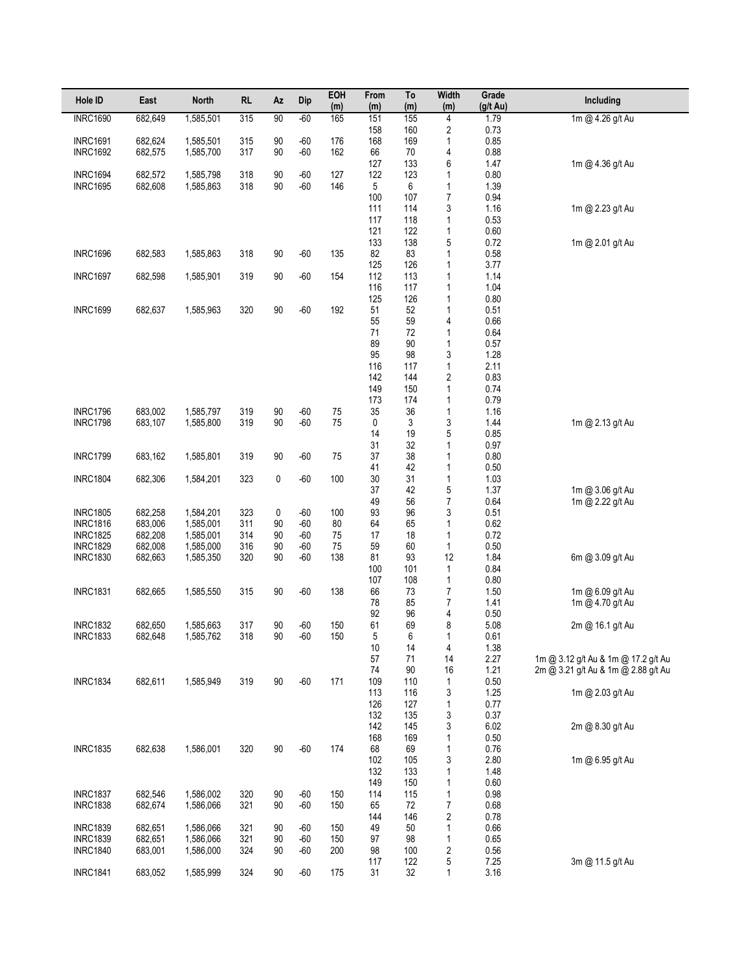| Hole ID                            | East               | <b>North</b>           | <b>RL</b>  | Az       | <b>Dip</b>     | EOH<br>(m) | From<br>(m) | To<br>(m)  | <b>Width</b><br>(m)          | Grade<br>$(g/t \text{ Au})$ | Including                            |
|------------------------------------|--------------------|------------------------|------------|----------|----------------|------------|-------------|------------|------------------------------|-----------------------------|--------------------------------------|
| <b>INRC1690</b>                    | 682,649            | 1,585,501              | 315        | 90       | $-60$          | 165        | 151         | 155        | 4                            | 1.79                        | 1m @ 4.26 g/t Au                     |
|                                    |                    |                        |            |          |                |            | 158         | 160        | 2                            | 0.73                        |                                      |
| <b>INRC1691</b><br><b>INRC1692</b> | 682,624<br>682,575 | 1,585,501<br>1,585,700 | 315<br>317 | 90<br>90 | $-60$<br>$-60$ | 176<br>162 | 168<br>66   | 169<br>70  | 1                            | 0.85<br>0.88                |                                      |
|                                    |                    |                        |            |          |                |            | 127         | 133        | 4<br>6                       | 1.47                        | 1m @ 4.36 g/t Au                     |
| <b>INRC1694</b>                    | 682,572            | 1,585,798              | 318        | 90       | $-60$          | 127        | 122         | 123        | 1                            | 0.80                        |                                      |
| <b>INRC1695</b>                    | 682,608            | 1,585,863              | 318        | 90       | $-60$          | 146        | 5           | 6          | 1                            | 1.39                        |                                      |
|                                    |                    |                        |            |          |                |            | 100         | 107        | 7                            | 0.94                        |                                      |
|                                    |                    |                        |            |          |                |            | 111<br>117  | 114<br>118 | 3<br>1                       | 1.16<br>0.53                | 1m @ 2.23 g/t Au                     |
|                                    |                    |                        |            |          |                |            | 121         | 122        | 1                            | 0.60                        |                                      |
|                                    |                    |                        |            |          |                |            | 133         | 138        | 5                            | 0.72                        | 1m @ 2.01 g/t Au                     |
| <b>INRC1696</b>                    | 682,583            | 1,585,863              | 318        | 90       | $-60$          | 135        | 82          | 83         | 1                            | 0.58                        |                                      |
| <b>INRC1697</b>                    | 682,598            | 1,585,901              | 319        | 90       | $-60$          | 154        | 125<br>112  | 126<br>113 | 1<br>1                       | 3.77<br>1.14                |                                      |
|                                    |                    |                        |            |          |                |            | 116         | 117        | 1                            | 1.04                        |                                      |
|                                    |                    |                        |            |          |                |            | 125         | 126        | 1                            | 0.80                        |                                      |
| <b>INRC1699</b>                    | 682,637            | 1,585,963              | 320        | 90       | $-60$          | 192        | 51          | 52         | 1                            | 0.51                        |                                      |
|                                    |                    |                        |            |          |                |            | 55<br>71    | 59<br>72   | 4<br>1                       | 0.66<br>0.64                |                                      |
|                                    |                    |                        |            |          |                |            | 89          | 90         | 1                            | 0.57                        |                                      |
|                                    |                    |                        |            |          |                |            | 95          | 98         | 3                            | 1.28                        |                                      |
|                                    |                    |                        |            |          |                |            | 116         | 117        | 1                            | 2.11                        |                                      |
|                                    |                    |                        |            |          |                |            | 142<br>149  | 144<br>150 | 2<br>1                       | 0.83<br>0.74                |                                      |
|                                    |                    |                        |            |          |                |            | 173         | 174        | 1                            | 0.79                        |                                      |
| <b>INRC1796</b>                    | 683,002            | 1,585,797              | 319        | 90       | $-60$          | 75         | 35          | 36         | 1                            | 1.16                        |                                      |
| <b>INRC1798</b>                    | 683,107            | 1,585,800              | 319        | 90       | $-60$          | 75         | 0           | 3          | 3                            | 1.44                        | 1m @ 2.13 g/t Au                     |
|                                    |                    |                        |            |          |                |            | 14<br>31    | 19<br>32   | 5<br>1                       | 0.85<br>0.97                |                                      |
| <b>INRC1799</b>                    | 683,162            | 1,585,801              | 319        | 90       | $-60$          | 75         | 37          | 38         | 1                            | 0.80                        |                                      |
|                                    |                    |                        |            |          |                |            | 41          | 42         | 1                            | 0.50                        |                                      |
| <b>INRC1804</b>                    | 682,306            | 1,584,201              | 323        | 0        | $-60$          | 100        | 30<br>37    | 31         | 1                            | 1.03                        |                                      |
|                                    |                    |                        |            |          |                |            | 49          | 42<br>56   | 5<br>7                       | 1.37<br>0.64                | 1m @ 3.06 g/t Au<br>1m @ 2.22 g/t Au |
| <b>INRC1805</b>                    | 682,258            | 1,584,201              | 323        | 0        | $-60$          | 100        | 93          | 96         | 3                            | 0.51                        |                                      |
| <b>INRC1816</b>                    | 683,006            | 1,585,001              | 311        | 90       | $-60$          | 80         | 64          | 65         | 1                            | 0.62                        |                                      |
| <b>INRC1825</b><br><b>INRC1829</b> | 682,208<br>682,008 | 1,585,001<br>1,585,000 | 314<br>316 | 90<br>90 | $-60$<br>$-60$ | 75<br>75   | 17<br>59    | 18<br>60   | 1<br>1                       | 0.72<br>0.50                |                                      |
| <b>INRC1830</b>                    | 682,663            | 1,585,350              | 320        | 90       | $-60$          | 138        | 81          | 93         | 12                           | 1.84                        | 6m @ 3.09 g/t Au                     |
|                                    |                    |                        |            |          |                |            | 100         | 101        | 1                            | 0.84                        |                                      |
|                                    |                    |                        |            |          |                |            | 107         | 108        | 1                            | 0.80                        |                                      |
| <b>INRC1831</b>                    | 682,665            | 1,585,550              | 315        | 90       | $-60$          | 138        | 66<br>78    | 73<br>85   | 7<br>7                       | 1.50<br>1.41                | 1m @ 6.09 q/t Au<br>1m @ 4.70 g/t Au |
|                                    |                    |                        |            |          |                |            | 92          | 96         | 4                            | 0.50                        |                                      |
| <b>INRC1832</b>                    | 682,650            | 1,585,663              | 317        | 90       | $-60$          | 150        | 61          | 69         | 8                            | 5.08                        | 2m @ 16.1 g/t Au                     |
| INRC1833                           | 682,648            | 1,585,762              | 318        | 90       | $-60$          | 150        | 5           | 6          | 1                            | 0.61                        |                                      |
|                                    |                    |                        |            |          |                |            | 10<br>57    | 14<br>71   | 4<br>14                      | 1.38<br>2.27                | 1m @ 3.12 g/t Au & 1m @ 17.2 g/t Au  |
|                                    |                    |                        |            |          |                |            | 74          | $90\,$     | 16                           | 1.21                        | 2m @ 3.21 g/t Au & 1m @ 2.88 g/t Au  |
| <b>INRC1834</b>                    | 682,611            | 1,585,949              | 319        | 90       | $-60$          | 171        | 109         | 110        | 1                            | $0.50\,$                    |                                      |
|                                    |                    |                        |            |          |                |            | 113<br>126  | 116<br>127 | 3<br>1                       | 1.25<br>0.77                | 1m @ 2.03 g/t Au                     |
|                                    |                    |                        |            |          |                |            | 132         | 135        | 3                            | 0.37                        |                                      |
|                                    |                    |                        |            |          |                |            | 142         | 145        | 3                            | 6.02                        | 2m @ 8.30 g/t Au                     |
|                                    |                    |                        |            |          |                |            | 168         | 169        | 1                            | $0.50\,$                    |                                      |
| <b>INRC1835</b>                    | 682,638            | 1,586,001              | 320        | 90       | $-60$          | 174        | 68<br>102   | 69<br>105  | 1<br>3                       | 0.76<br>2.80                | 1m @ 6.95 g/t Au                     |
|                                    |                    |                        |            |          |                |            | 132         | 133        | 1                            | 1.48                        |                                      |
|                                    |                    |                        |            |          |                |            | 149         | 150        | 1                            | 0.60                        |                                      |
| <b>INRC1837</b><br><b>INRC1838</b> | 682,546<br>682,674 | 1,586,002<br>1,586,066 | 320<br>321 | 90<br>90 | $-60$<br>$-60$ | 150<br>150 | 114<br>65   | 115<br>72  | 1<br>7                       | 0.98<br>0.68                |                                      |
|                                    |                    |                        |            |          |                |            | 144         | 146        | $\overline{\mathbf{c}}$      | 0.78                        |                                      |
| <b>INRC1839</b>                    | 682,651            | 1,586,066              | 321        | 90       | $-60$          | 150        | 49          | 50         | 1                            | 0.66                        |                                      |
| <b>INRC1839</b>                    | 682,651            | 1,586,066              | 321        | 90       | $-60$          | 150        | 97          | 98         | 1                            | 0.65                        |                                      |
| <b>INRC1840</b>                    | 683,001            | 1,586,000              | 324        | 90       | $-60$          | 200        | 98<br>117   | 100<br>122 | $\overline{\mathbf{c}}$<br>5 | $0.56\,$<br>7.25            | 3m @ 11.5 g/t Au                     |
| <b>INRC1841</b>                    | 683,052            | 1,585,999              | 324        | 90       | $-60$          | 175        | 31          | 32         | 1                            | 3.16                        |                                      |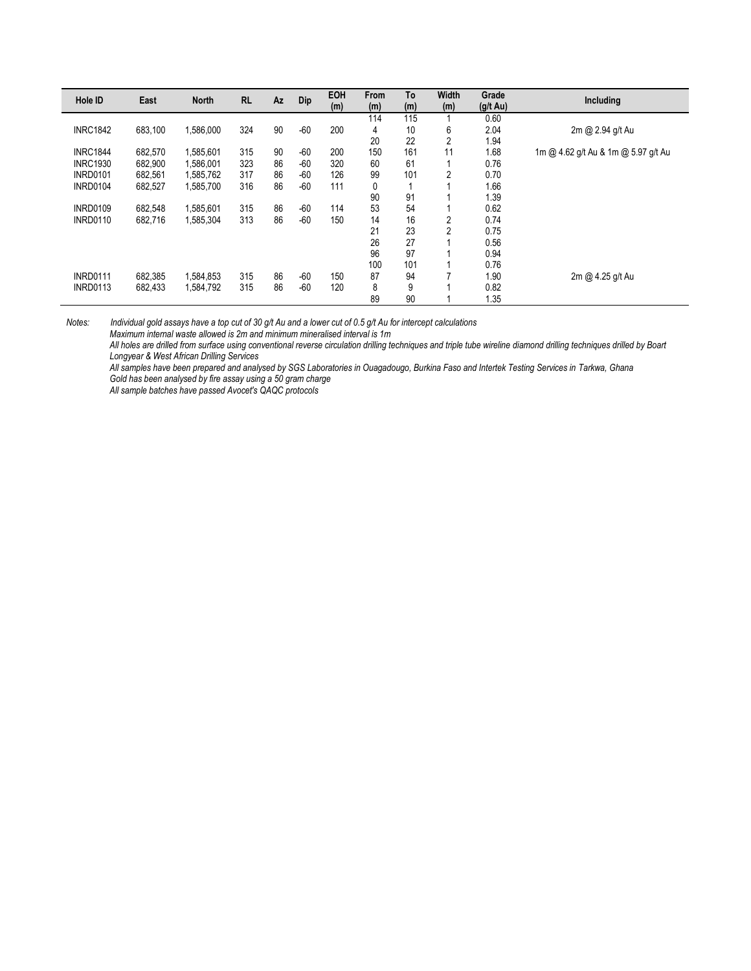| Hole ID         | East    | <b>North</b> | <b>RL</b> | Az | Dip   | <b>EOH</b><br>(m) | <b>From</b><br>(m) | To<br>(m) | Width<br>(m) | Grade<br>$(g/t \text{ Au})$ | Including                           |
|-----------------|---------|--------------|-----------|----|-------|-------------------|--------------------|-----------|--------------|-----------------------------|-------------------------------------|
|                 |         |              |           |    |       |                   | 114                | 115       |              | 0.60                        |                                     |
| <b>INRC1842</b> | 683,100 | 1,586,000    | 324       | 90 | $-60$ | 200               | 4                  | 10        | 6            | 2.04                        | 2m @ 2.94 g/t Au                    |
|                 |         |              |           |    |       |                   | 20                 | 22        | 2            | 1.94                        |                                     |
| <b>INRC1844</b> | 682.570 | 1,585,601    | 315       | 90 | $-60$ | 200               | 150                | 161       | 11           | 1.68                        | 1m @ 4.62 g/t Au & 1m @ 5.97 g/t Au |
| <b>INRC1930</b> | 682.900 | 1.586.001    | 323       | 86 | $-60$ | 320               | 60                 | 61        |              | 0.76                        |                                     |
| <b>INRD0101</b> | 682.561 | 1,585,762    | 317       | 86 | $-60$ | 126               | 99                 | 101       | 2            | 0.70                        |                                     |
| <b>INRD0104</b> | 682,527 | 1,585,700    | 316       | 86 | $-60$ | 111               | 0                  |           |              | 1.66                        |                                     |
|                 |         |              |           |    |       |                   | 90                 | 91        |              | 1.39                        |                                     |
| <b>INRD0109</b> | 682.548 | 1.585.601    | 315       | 86 | $-60$ | 114               | 53                 | 54        |              | 0.62                        |                                     |
| <b>INRD0110</b> | 682.716 | 1,585,304    | 313       | 86 | $-60$ | 150               | 14                 | 16        | 2            | 0.74                        |                                     |
|                 |         |              |           |    |       |                   | 21                 | 23        | 2            | 0.75                        |                                     |
|                 |         |              |           |    |       |                   | 26                 | 27        |              | 0.56                        |                                     |
|                 |         |              |           |    |       |                   | 96                 | 97        |              | 0.94                        |                                     |
|                 |         |              |           |    |       |                   | 100                | 101       |              | 0.76                        |                                     |
| <b>INRD0111</b> | 682.385 | 1,584,853    | 315       | 86 | $-60$ | 150               | 87                 | 94        |              | 1.90                        | 2m @ 4.25 g/t Au                    |
| <b>INRD0113</b> | 682.433 | 1,584,792    | 315       | 86 | $-60$ | 120               | 8                  | 9         |              | 0.82                        |                                     |
|                 |         |              |           |    |       |                   | 89                 | 90        |              | 1.35                        |                                     |

*Maximum internal waste allowed is 2m and minimum mineralised interval is 1m*

All holes are drilled from surface using conventional reverse circulation drilling techniques and triple tube wireline diamond drilling techniques drilled by Boart *Longyear & West African Drilling Services*

*All samples have been prepared and analysed by SGS Laboratories in Ouagadougo, Burkina Faso and Intertek Testing Services in Tarkwa, Ghana Gold has been analysed by fire assay using a 50 gram charge*